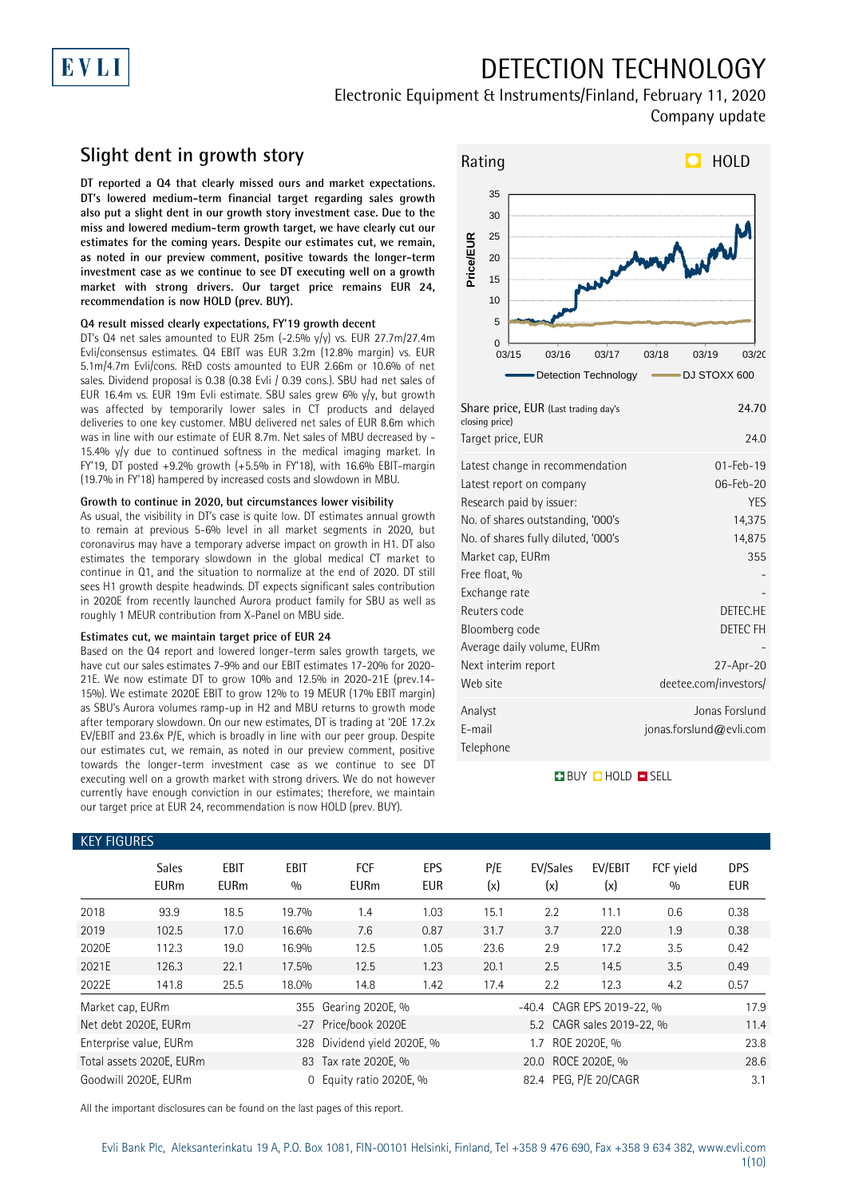# EVLI

# DETECTION TECHNOLOGY

## Electronic Equipment & Instruments/Finland, February 11, 2020 Company update

## **Slight dent in growth story**

**DT reported a Q4 that clearly missed ours and market expectations. DT's lowered medium-term financial target regarding sales growth also put a slight dent in our growth story investment case. Due to the miss and lowered medium-term growth target, we have clearly cut our estimates for the coming years. Despite our estimates cut, we remain, as noted in our preview comment, positive towards the longer-term investment case as we continue to see DT executing well on a growth market with strong drivers. Our target price remains EUR 24, recommendation is now HOLD (prev. BUY).**

## **Q4 result missed clearly expectations, FY'19 growth decent**

DT's Q4 net sales amounted to EUR 25m (-2.5% y/y) vs. EUR 27.7m/27.4m Evli/consensus estimates. Q4 EBIT was EUR 3.2m (12.8% margin) vs. EUR 5.1m/4.7m Evli/cons. R&D costs amounted to EUR 2.66m or 10.6% of net sales. Dividend proposal is 0.38 (0.38 Evli / 0.39 cons.). SBU had net sales of EUR 16.4m vs. EUR 19m Evli estimate. SBU sales grew 6% y/y, but growth was affected by temporarily lower sales in CT products and delayed deliveries to one key customer. MBU delivered net sales of EUR 8.6m which was in line with our estimate of EUR 8.7m. Net sales of MBU decreased by - 15.4% y/y due to continued softness in the medical imaging market. In FY'19, DT posted +9.2% growth (+5.5% in FY'18), with 16.6% EBIT-margin (19.7% in FY'18) hampered by increased costs and slowdown in MBU.

### **Growth to continue in 2020, but circumstances lower visibility**

As usual, the visibility in DT's case is quite low. DT estimates annual growth to remain at previous 5-6% level in all market segments in 2020, but coronavirus may have a temporary adverse impact on growth in H1. DT also estimates the temporary slowdown in the global medical CT market to continue in Q1, and the situation to normalize at the end of 2020. DT still sees H1 growth despite headwinds. DT expects significant sales contribution in 2020E from recently launched Aurora product family for SBU as well as roughly 1 MEUR contribution from X-Panel on MBU side.

### **Estimates cut, we maintain target price of EUR 24**

Based on the Q4 report and lowered longer-term sales growth targets, we have cut our sales estimates 7-9% and our EBIT estimates 17-20% for 2020- 21E. We now estimate DT to grow 10% and 12.5% in 2020-21E (prev.14- 15%). We estimate 2020E EBIT to grow 12% to 19 MEUR (17% EBIT margin) as SBU's Aurora volumes ramp-up in H2 and MBU returns to growth mode after temporary slowdown. On our new estimates, DT is trading at '20E 17.2x EV/EBIT and 23.6x P/E, which is broadly in line with our peer group. Despite our estimates cut, we remain, as noted in our preview comment, positive towards the longer-term investment case as we continue to see DT executing well on a growth market with strong drivers. We do not however currently have enough conviction in our estimates; therefore, we maintain our target price at EUR 24, recommendation is now HOLD (prev. BUY).



| Share price, EUR (Last trading day's<br>closing price)      | 24.70                        |
|-------------------------------------------------------------|------------------------------|
| Target price, EUR                                           | 24.0                         |
| Latest change in recommendation<br>Latest report on company | $01 - Feb - 19$<br>06-Feb-20 |
| Research paid by issuer:                                    | <b>YES</b>                   |
| No. of shares outstanding, '000's                           | 14,375                       |
| No. of shares fully diluted, '000's                         | 14,875                       |
| Market cap, EURm                                            | 355                          |
| Free float, %                                               |                              |
| Exchange rate                                               |                              |
| Reuters code                                                | DETEC.HE                     |
| Bloomberg code                                              | DETEC FH                     |
| Average daily volume, EURm                                  |                              |
| Next interim report                                         | 27-Apr-20                    |
| Web site                                                    | deetee.com/investors/        |
| Analyst                                                     | Jonas Forslund               |
| E-mail                                                      | jonas.forslund@evli.com      |
| Telephone                                                   |                              |

## **BUY QHOLD SELL**

| <b>KEY FIGURES</b> |                             |                            |                    |                           |                   |            |                           |                           |                  |                          |
|--------------------|-----------------------------|----------------------------|--------------------|---------------------------|-------------------|------------|---------------------------|---------------------------|------------------|--------------------------|
|                    | <b>Sales</b><br><b>EURm</b> | <b>EBIT</b><br><b>EURm</b> | <b>EBIT</b><br>0/0 | <b>FCF</b><br><b>EURm</b> | EPS<br><b>EUR</b> | P/E<br>(x) | EV/Sales<br>(x)           | EV/EBIT<br>(x)            | FCF vield<br>0/0 | <b>DPS</b><br><b>EUR</b> |
| 2018               | 93.9                        | 18.5                       | 19.7%              | 1.4                       | 1.03              | 15.1       | 2.2                       | 11.1                      | 0.6              | 0.38                     |
| 2019               | 102.5                       | 17.0                       | 16.6%              | 7.6                       | 0.87              | 31.7       | 3.7                       | 22.0                      | 1.9              | 0.38                     |
| 2020E              | 112.3                       | 19.0                       | 16.9%              | 12.5                      | 1.05              | 23.6       | 2.9                       | 17.2                      | 3.5              | 0.42                     |
| 2021E              | 126.3                       | 22.1                       | 17.5%              | 12.5                      | 1.23              | 20.1       | 2.5                       | 14.5                      | 3.5              | 0.49                     |
| 2022E              | 141.8                       | 25.5                       | 18.0%              | 14.8                      | 1.42              | 17.4       | 2.2                       | 12.3                      | 4.2              | 0.57                     |
| Market cap, EURm   |                             |                            |                    | 355 Gearing 2020E, %      |                   |            | -40.4 CAGR EPS 2019-22, % |                           |                  | 17.9                     |
|                    | Net debt 2020E, EURm        |                            |                    | -27 Price/book 2020E      |                   |            |                           | 5.2 CAGR sales 2019-22, % |                  | 11.4                     |
|                    | Enterprise value, EURm      |                            | 328                | Dividend yield 2020E, %   |                   |            | 1.7                       | ROE 2020E. %              |                  | 23.8                     |
|                    | Total assets 2020E, EURm    |                            |                    | 83 Tax rate 2020E, %      |                   |            | 20.0 ROCE 2020E, %        |                           |                  | 28.6                     |
|                    | Goodwill 2020E, EURm        |                            | $\Omega$           | Equity ratio 2020E, %     |                   |            | 82.4 PEG. P/E 20/CAGR     |                           |                  | 3.1                      |

All the important disclosures can be found on the last pages of this report.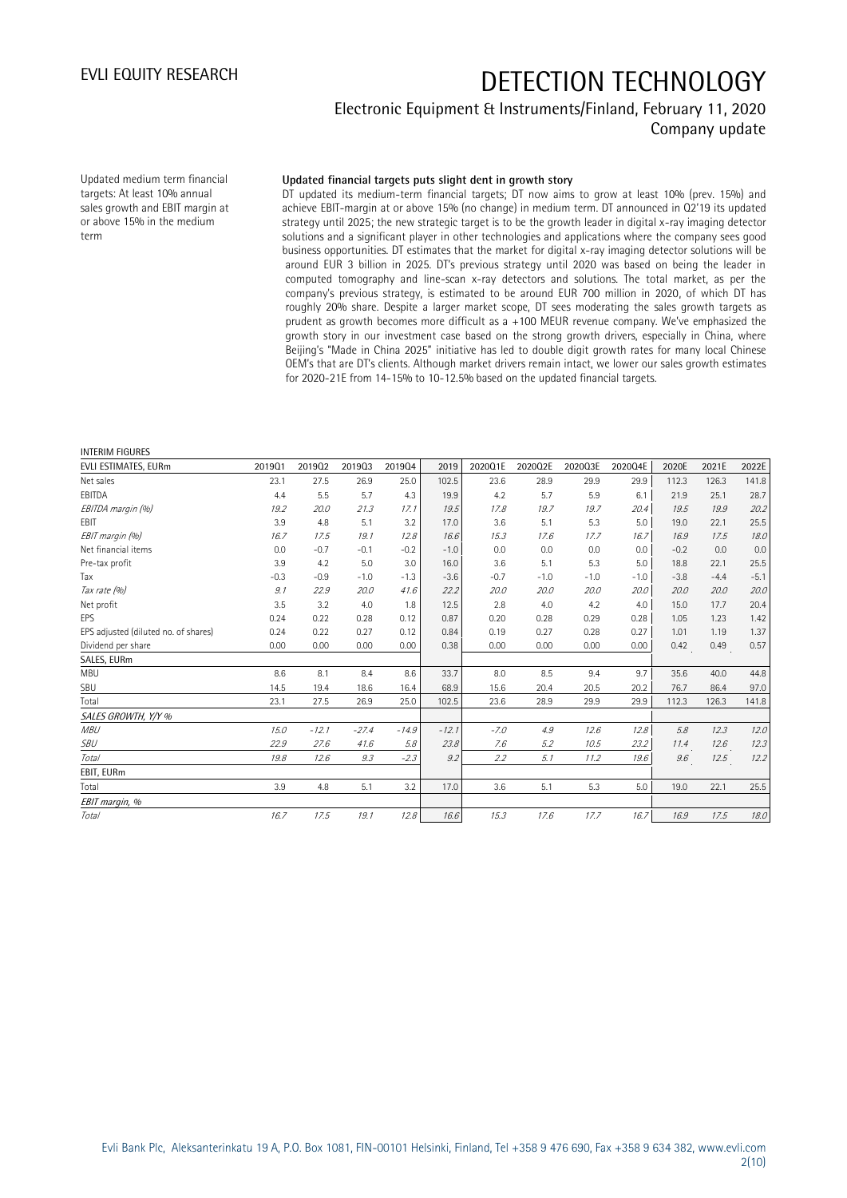## Electronic Equipment & Instruments/Finland, February 11, 2020 Company update

Updated medium term financial targets: At least 10% annual sales growth and EBIT margin at or above 15% in the medium term

### **Updated financial targets puts slight dent in growth story**

DT updated its medium-term financial targets; DT now aims to grow at least 10% (prev. 15%) and achieve EBIT-margin at or above 15% (no change) in medium term. DT announced in Q2'19 its updated strategy until 2025; the new strategic target is to be the growth leader in digital x-ray imaging detector solutions and a significant player in other technologies and applications where the company sees good business opportunities. DT estimates that the market for digital x-ray imaging detector solutions will be around EUR 3 billion in 2025. DT's previous strategy until 2020 was based on being the leader in computed tomography and line-scan x-ray detectors and solutions. The total market, as per the company's previous strategy, is estimated to be around EUR 700 million in 2020, of which DT has roughly 20% share. Despite a larger market scope, DT sees moderating the sales growth targets as prudent as growth becomes more difficult as a +100 MEUR revenue company. We've emphasized the growth story in our investment case based on the strong growth drivers, especially in China, where Beijing's "Made in China 2025" initiative has led to double digit growth rates for many local Chinese OEM's that are DT's clients. Although market drivers remain intact, we lower our sales growth estimates for 2020-21E from 14-15% to 10-12.5% based on the updated financial targets.

### INTERIM FIGURES

| <b>EVLI ESTIMATES, EURm</b>          | 201901 | 201902  | 201903  | 201904  | 2019    | 2020Q1E | 2020Q2E | 2020Q3E | 2020Q4E | 2020E  | 2021E  | 2022E  |
|--------------------------------------|--------|---------|---------|---------|---------|---------|---------|---------|---------|--------|--------|--------|
| Net sales                            | 23.1   | 27.5    | 26.9    | 25.0    | 102.5   | 23.6    | 28.9    | 29.9    | 29.9    | 112.3  | 126.3  | 141.8  |
| EBITDA                               | 4.4    | 5.5     | 5.7     | 4.3     | 19.9    | 4.2     | 5.7     | 5.9     | 6.1     | 21.9   | 25.1   | 28.7   |
| EBITDA margin (%)                    | 19.2   | 20.0    | 21.3    | 17.1    | 19.5    | 17.8    | 19.7    | 19.7    | 20.4    | 19.5   | 19.9   | 20.2   |
| <b>EBIT</b>                          | 3.9    | 4.8     | 5.1     | 3.2     | 17.0    | 3.6     | 5.1     | 5.3     | 5.0     | 19.0   | 22.1   | 25.5   |
| EBIT margin (%)                      | 16.7   | 17.5    | 19.1    | 12.8    | 16.6    | 15.3    | 17.6    | 17.7    | 16.7    | 16.9   | 17.5   | 18.0   |
| Net financial items                  | 0.0    | $-0.7$  | $-0.1$  | $-0.2$  | $-1.0$  | 0.0     | 0.0     | 0.0     | 0.0     | $-0.2$ | 0.0    | 0.0    |
| Pre-tax profit                       | 3.9    | 4.2     | 5.0     | 3.0     | 16.0    | 3.6     | 5.1     | 5.3     | 5.0     | 18.8   | 22.1   | 25.5   |
| Tax                                  | $-0.3$ | $-0.9$  | $-1.0$  | $-1.3$  | $-3.6$  | $-0.7$  | $-1.0$  | $-1.0$  | $-1.0$  | $-3.8$ | $-4.4$ | $-5.1$ |
| Tax rate (%)                         | 9.1    | 22.9    | 20.0    | 41.6    | 22.2    | 20.0    | 20.0    | 20.0    | 20.0    | 20.0   | 20.0   | 20.0   |
| Net profit                           | 3.5    | 3.2     | 4.0     | 1.8     | 12.5    | 2.8     | 4.0     | 4.2     | 4.0     | 15.0   | 17.7   | 20.4   |
| <b>EPS</b>                           | 0.24   | 0.22    | 0.28    | 0.12    | 0.87    | 0.20    | 0.28    | 0.29    | 0.28    | 1.05   | 1.23   | 1.42   |
| EPS adjusted (diluted no. of shares) | 0.24   | 0.22    | 0.27    | 0.12    | 0.84    | 0.19    | 0.27    | 0.28    | 0.27    | 1.01   | 1.19   | 1.37   |
| Dividend per share                   | 0.00   | 0.00    | 0.00    | 0.00    | 0.38    | 0.00    | 0.00    | 0.00    | 0.00    | 0.42   | 0.49   | 0.57   |
| SALES, EURm                          |        |         |         |         |         |         |         |         |         |        |        |        |
| MBU                                  | 8.6    | 8.1     | 8.4     | 8.6     | 33.7    | 8.0     | 8.5     | 9.4     | 9.7     | 35.6   | 40.0   | 44.8   |
| SBU                                  | 14.5   | 19.4    | 18.6    | 16.4    | 68.9    | 15.6    | 20.4    | 20.5    | 20.2    | 76.7   | 86.4   | 97.0   |
| Total                                | 23.1   | 27.5    | 26.9    | 25.0    | 102.5   | 23.6    | 28.9    | 29.9    | 29.9    | 112.3  | 126.3  | 141.8  |
| SALES GROWTH, Y/Y %                  |        |         |         |         |         |         |         |         |         |        |        |        |
| <b>MBU</b>                           | 15.0   | $-12.1$ | $-27.4$ | $-14.9$ | $-12.1$ | $-7.0$  | 4.9     | 12.6    | 12.8    | 5.8    | 12.3   | 12.0   |
| <b>SBU</b>                           | 22.9   | 27.6    | 41.6    | 5.8     | 23.8    | 7.6     | 5.2     | 10.5    | 23.2    | 11.4   | 12.6   | 12.3   |
| Total                                | 19.8   | 12.6    | 9.3     | $-2.3$  | 9.2     | 2.2     | 5.1     | 11.2    | 19.6    | 9.6    | 12.5   | 12.2   |
| EBIT, EURm                           |        |         |         |         |         |         |         |         |         |        |        |        |
| Total                                | 3.9    | 4.8     | 5.1     | 3.2     | 17.0    | 3.6     | 5.1     | 5.3     | 5.0     | 19.0   | 22.1   | 25.5   |
| EBIT margin, %                       |        |         |         |         |         |         |         |         |         |        |        |        |
| Total                                | 16.7   | 17.5    | 19.1    | 12.8    | 16.6    | 15.3    | 17.6    | 17.7    | 16.7    | 16.9   | 17.5   | 18.0   |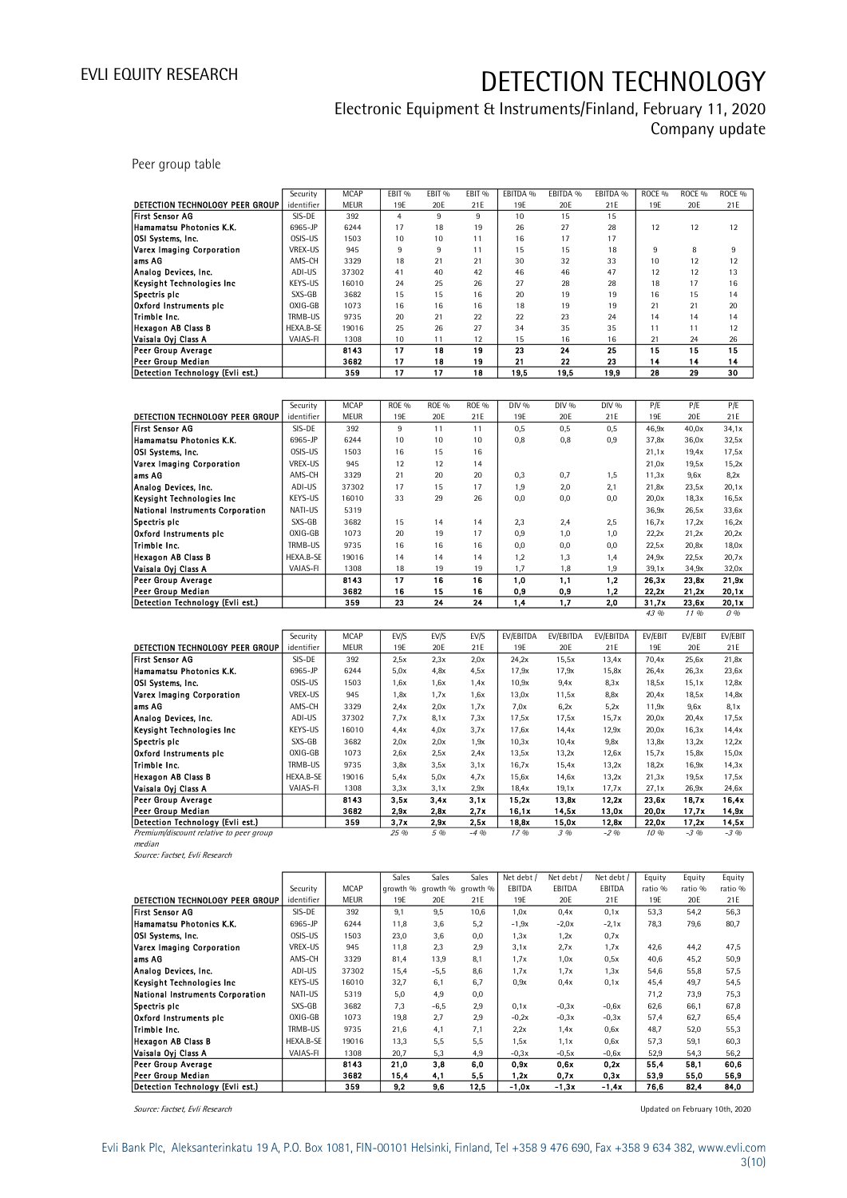## Electronic Equipment & Instruments/Finland, February 11, 2020 Company update

Peer group table

|                                  | Security   | <b>MCAP</b> | EBIT % | EBIT <sub>%</sub> | EBIT <sub>%</sub> | EBITDA % | EBITDA % | EBITDA % | ROCE <sub>%</sub> | ROCE <sub>%</sub> | ROCE <sub>%</sub> |
|----------------------------------|------------|-------------|--------|-------------------|-------------------|----------|----------|----------|-------------------|-------------------|-------------------|
| DETECTION TECHNOLOGY PEER GROUP  | identifier | <b>MEUR</b> | 19E    | 20E               | 21E               | 19E      | 20E      | 21E      | 19E               | 20E               | 21E               |
| <b>First Sensor AG</b>           | SIS-DE     | 392         | 4      | 9                 | 9                 | 10       | 15       | 15       |                   |                   |                   |
| Hamamatsu Photonics K.K.         | 6965-JP    | 6244        | 17     | 18                | 19                | 26       | 27       | 28       | 12                | 12                | 12                |
| <b>IOSI Systems, Inc.</b>        | OSIS-US    | 1503        | 10     | 10                | 11                | 16       | 17       | 17       |                   |                   |                   |
| Varex Imaging Corporation        | VREX-US    | 945         | 9      | 9                 | 11                | 15       | 15       | 18       | 9                 | 8                 | 9                 |
| lams AG                          | AMS-CH     | 3329        | 18     | 21                | 21                | 30       | 32       | 33       | 10                | 12                | 12                |
| Analog Devices, Inc.             | ADI-US     | 37302       | 41     | 40                | 42                | 46       | 46       | 47       | 12                | 12                | 13                |
| Keysight Technologies Inc.       | KEYS-US    | 16010       | 24     | 25                | 26                | 27       | 28       | 28       | 18                | 17                | 16                |
| Spectris plc                     | SXS-GB     | 3682        | 15     | 15                | 16                | 20       | 19       | 19       | 16                | 15                | 14                |
| Oxford Instruments pic           | OXIG-GB    | 1073        | 16     | 16                | 16                | 18       | 19       | 19       | 21                | 21                | 20                |
| Trimble Inc.                     | TRMB-US    | 9735        | 20     | 21                | 22                | 22       | 23       | 24       | 14                | 14                | 14                |
| Hexagon AB Class B               | HEXA.B-SE  | 19016       | 25     | 26                | 27                | 34       | 35       | 35       | 11                | 11                | 12                |
| Vaisala Oyj Class A              | VAIAS-FI   | 1308        | 10     | 11                | 12                | 15       | 16       | 16       | 21                | 24                | 26                |
| <b>Peer Group Average</b>        |            | 8143        | 17     | 18                | 19                | 23       | 24       | 25       | 15                | 15                | 15                |
| <b>Peer Group Median</b>         |            | 3682        | 17     | 18                | 19                | 21       | 22       | 23       | 14                | 14                | 14                |
| Detection Technology (Evli est.) |            | 359         | 17     | 17                | 18                | 19,5     | 19,5     | 19,9     | 28                | 29                | 30                |

|                                  | Security   | <b>MCAP</b> | <b>ROE %</b> | <b>ROE %</b> | <b>ROE %</b> | DIV % | DIV % | DIV % | P/E   | P/E   | P/E   |
|----------------------------------|------------|-------------|--------------|--------------|--------------|-------|-------|-------|-------|-------|-------|
| DETECTION TECHNOLOGY PEER GROUP  | identifier | <b>MEUR</b> | 19E          | 20E          | 21E          | 19E   | 20E   | 21E   | 19F   | 20E   | 21E   |
| <b>First Sensor AG</b>           | SIS-DE     | 392         | 9            | 11           | 11           | 0,5   | 0,5   | 0,5   | 46,9x | 40,0x | 34.1x |
| Hamamatsu Photonics K.K.         | 6965-JP    | 6244        | 10           | 10           | 10           | 0,8   | 0,8   | 0,9   | 37,8x | 36,0x | 32,5x |
| <b>OSI Systems, Inc.</b>         | OSIS-US    | 1503        | 16           | 15           | 16           |       |       |       | 21,1x | 19,4x | 17,5x |
| Varex Imaging Corporation        | VREX-US    | 945         | 12           | 12           | 14           |       |       |       | 21,0x | 19,5x | 15,2x |
| lams AG                          | AMS-CH     | 3329        | 21           | 20           | 20           | 0,3   | 0,7   | 1,5   | 11,3x | 9,6x  | 8,2x  |
| Analog Devices, Inc.             | ADI-US     | 37302       | 17           | 15           | 17           | 1,9   | 2,0   | 2,1   | 21,8x | 23,5x | 20,1x |
| Keysight Technologies Inc        | KEYS-US    | 16010       | 33           | 29           | 26           | 0,0   | 0,0   | 0,0   | 20,0x | 18,3x | 16,5x |
| National Instruments Corporation | NATI-US    | 5319        |              |              |              |       |       |       | 36,9x | 26,5x | 33,6x |
| Spectris plc                     | SXS-GB     | 3682        | 15           | 14           | 14           | 2,3   | 2,4   | 2,5   | 16,7x | 17,2x | 16,2x |
| Oxford Instruments pic           | OXIG-GB    | 1073        | 20           | 19           | 17           | 0,9   | 1,0   | 1,0   | 22,2x | 21,2x | 20,2x |
| Trimble Inc.                     | TRMB-US    | 9735        | 16           | 16           | 16           | 0,0   | 0,0   | 0,0   | 22.5x | 20,8x | 18,0x |
| Hexagon AB Class B               | HEXA.B-SE  | 19016       | 14           | 14           | 14           | 1,2   | 1,3   | 1,4   | 24.9x | 22,5x | 20,7x |
| Vaisala Ovi Class A              | VAIAS-FL   | 1308        | 18           | 19           | 19           | 1,7   | 1,8   | 1,9   | 39,1x | 34,9x | 32,0x |
| Peer Group Average               |            | 8143        | 17           | 16           | 16           | 1.0   | 1,1   | 1.2   | 26.3x | 23,8x | 21.9x |
| Peer Group Median                |            | 3682        | 16           | 15           | 16           | 0,9   | 0,9   | 1,2   | 22.2x | 21,2x | 20,1x |
| Detection Technology (Evli est.) |            | 359         | 23           | 24           | 24           | 1.4   | 1,7   | 2,0   | 31.7x | 23,6x | 20.1x |
|                                  |            |             |              |              |              |       |       |       | 43 %  | 1196  | 0.96  |

|                                         | Security   | <b>MCAP</b> | EV/S | EV/S | EV/S    | EV/EBITDA | EV/EBITDA | EV/EBITDA | EV/EBIT | EV/EBIT | EV/EBIT |
|-----------------------------------------|------------|-------------|------|------|---------|-----------|-----------|-----------|---------|---------|---------|
| DETECTION TECHNOLOGY PEER GROUP         | identifier | <b>MEUR</b> | 19E  | 20E  | 21E     | 19E       | 20E       | 21E       | 19E     | 20E     | 21E     |
| First Sensor AG                         | SIS-DE     | 392         | 2,5x | 2,3x | 2,0x    | 24,2x     | 15,5x     | 13,4x     | 70,4x   | 25,6x   | 21,8x   |
| Hamamatsu Photonics K.K.                | 6965-JP    | 6244        | 5,0x | 4.8x | 4,5x    | 17,9x     | 17,9x     | 15,8x     | 26,4x   | 26,3x   | 23,6x   |
| <b>OSI Systems, Inc.</b>                | OSIS-US    | 1503        | 1,6x | 1,6x | 1.4x    | 10,9x     | 9.4x      | 8.3x      | 18,5x   | 15,1x   | 12,8x   |
| Varex Imaging Corporation               | VREX-US    | 945         | 1,8x | 1,7x | 1,6x    | 13,0x     | 11,5x     | 8,8x      | 20,4x   | 18,5x   | 14,8x   |
| lams AG                                 | AMS-CH     | 3329        | 2.4x | 2,0x | 1,7x    | 7.0x      | 6,2x      | 5,2x      | 11,9x   | 9,6x    | 8,1x    |
| Analog Devices, Inc.                    | ADI-US     | 37302       | 7.7x | 8,1x | 7.3x    | 17,5x     | 17,5x     | 15,7x     | 20,0x   | 20,4x   | 17,5x   |
| Keysight Technologies Inc               | KEYS-US    | 16010       | 4.4x | 4.0x | 3,7x    | 17,6x     | 14,4x     | 12,9x     | 20,0x   | 16,3x   | 14,4x   |
| Spectris plc                            | SXS-GB     | 3682        | 2,0x | 2,0x | 1,9x    | 10,3x     | 10,4x     | 9,8x      | 13,8x   | 13,2x   | 12,2x   |
| Oxford Instruments pic                  | OXIG-GB    | 1073        | 2,6x | 2,5x | 2.4x    | 13,5x     | 13,2x     | 12,6x     | 15,7x   | 15,8x   | 15,0x   |
| Trimble Inc.                            | TRMB-US    | 9735        | 3,8x | 3,5x | 3,1x    | 16,7x     | 15,4x     | 13,2x     | 18.2x   | 16,9x   | 14,3x   |
| Hexagon AB Class B                      | HEXA.B-SE  | 19016       | 5,4x | 5,0x | 4.7x    | 15,6x     | 14,6x     | 13,2x     | 21.3x   | 19,5x   | 17,5x   |
| Vaisala Oyi Class A                     | VAIAS-FI   | 1308        | 3,3x | 3,1x | 2.9x    | 18,4x     | 19,1x     | 17,7x     | 27,1x   | 26,9x   | 24,6x   |
| Peer Group Average                      |            | 8143        | 3.5x | 3.4x | 3.1x    | 15,2x     | 13,8x     | 12.2x     | 23.6x   | 18.7x   | 16,4x   |
| Peer Group Median                       |            | 3682        | 2.9x | 2.8x | 2.7x    | 16.1x     | 14.5x     | 13,0x     | 20.0x   | 17,7x   | 14.9x   |
| Detection Technology (Evli est.)        |            | 359         | 3,7x | 2.9x | 2,5x    | 18,8x     | 15,0x     | 12.8x     | 22.0x   | 17,2x   | 14.5x   |
| Premium/discount relative to peer group |            |             | 25 % | 5 %  | $-4.96$ | 17.96     | 3 %       | $-2\%$    | 10 %    | $-3\%$  | $-3.96$ |
|                                         |            |             |      |      |         |           |           |           |         |         |         |

median

Source: Factset, Evli Research

|                                  |            |             | Sales | Sales                      | Sales | Net debt / | Net debt / | Net debt / | Equity  | Equity  | Equity  |
|----------------------------------|------------|-------------|-------|----------------------------|-------|------------|------------|------------|---------|---------|---------|
|                                  | Security   | <b>MCAP</b> |       | growth % growth % growth % |       | EBITDA     | EBITDA     | EBITDA     | ratio % | ratio % | ratio % |
| DETECTION TECHNOLOGY PEER GROUP  | identifier | <b>MEUR</b> | 19E   | 20E                        | 21E   | 19E        | 20E        | 21E        | 19F     | 20E     | 21E     |
| <b>First Sensor AG</b>           | SIS-DE     | 392         | 9.1   | 9.5                        | 10,6  | 1,0x       | 0.4x       | 0,1x       | 53,3    | 54,2    | 56,3    |
| Hamamatsu Photonics K.K.         | 6965-JP    | 6244        | 11,8  | 3.6                        | 5,2   | $-1,9x$    | $-2,0x$    | $-2,1x$    | 78.3    | 79,6    | 80,7    |
| OSI Systems, Inc.                | OSIS-US    | 1503        | 23,0  | 3.6                        | 0.0   | 1,3x       | 1,2x       | 0.7x       |         |         |         |
| Varex Imaging Corporation        | VREX-US    | 945         | 11,8  | 2,3                        | 2.9   | 3,1x       | 2.7x       | 1,7x       | 42,6    | 44,2    | 47,5    |
| lams AG                          | AMS-CH     | 3329        | 81,4  | 13,9                       | 8.1   | 1,7x       | 1,0x       | 0,5x       | 40.6    | 45,2    | 50,9    |
| Analog Devices, Inc.             | ADI-US     | 37302       | 15,4  | $-5,5$                     | 8.6   | 1,7x       | 1,7x       | 1,3x       | 54,6    | 55,8    | 57,5    |
| Keysight Technologies Inc.       | KEYS-US    | 16010       | 32,7  | 6.1                        | 6.7   | 0,9x       | 0.4x       | 0.1x       | 45.4    | 49,7    | 54,5    |
| National Instruments Corporation | NATI-US    | 5319        | 5,0   | 4,9                        | 0,0   |            |            |            | 71,2    | 73,9    | 75,3    |
| Spectris plc                     | SXS-GB     | 3682        | 7,3   | $-6,5$                     | 2.9   | 0,1x       | $-0.3x$    | $-0,6x$    | 62.6    | 66,1    | 67,8    |
| Oxford Instruments pic           | OXIG-GB    | 1073        | 19,8  | 2,7                        | 2,9   | $-0,2x$    | $-0,3x$    | $-0.3x$    | 57,4    | 62,7    | 65,4    |
| Trimble Inc.                     | TRMB-US    | 9735        | 21,6  | 4.1                        | 7.1   | 2,2x       | 1.4x       | 0,6x       | 48.7    | 52,0    | 55,3    |
| <b>Hexagon AB Class B</b>        | HEXA.B-SE  | 19016       | 13,3  | 5,5                        | 5.5   | 1,5x       | 1,1x       | 0,6x       | 57.3    | 59,1    | 60,3    |
| Vaisala Oyi Class A              | VAIAS-FI   | 1308        | 20,7  | 5,3                        | 4,9   | $-0.3x$    | $-0,5x$    | $-0,6x$    | 52,9    | 54,3    | 56,2    |
| <b>Peer Group Average</b>        |            | 8143        | 21.0  | 3,8                        | 6,0   | 0.9x       | 0.6x       | 0.2x       | 55,4    | 58,1    | 60.6    |
| <b>Peer Group Median</b>         |            | 3682        | 15.4  | 4,1                        | 5,5   | 1.2x       | 0.7x       | 0.3x       | 53,9    | 55,0    | 56,9    |
| Detection Technology (Evli est.) |            | 359         | 9.2   | 9,6                        | 12,5  | $-1,0x$    | $-1, 3x$   | $-1.4x$    | 76.6    | 82,4    | 84,0    |

Source: Factset, Evli Research **Updated on February 10th, 2020** Source: Factset, Evli Research Updated on February 10th, 2020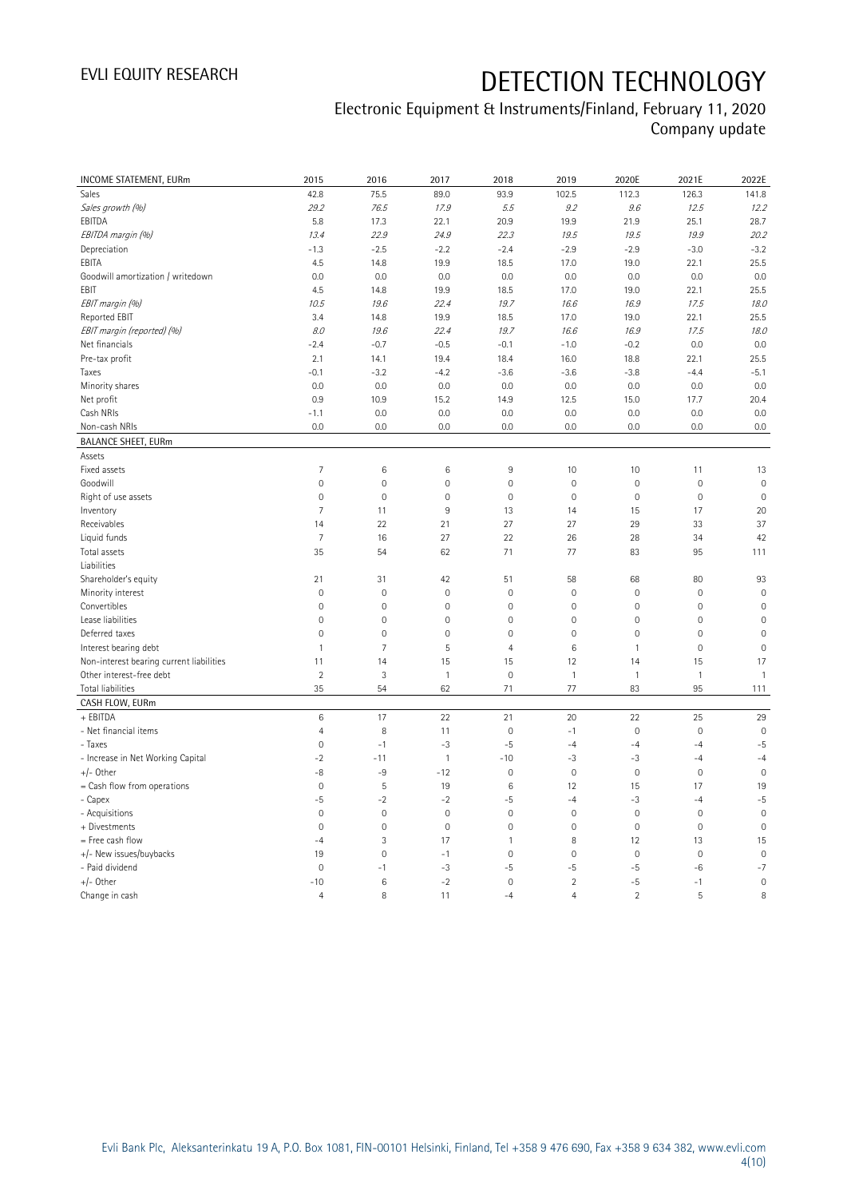## Electronic Equipment & Instruments/Finland, February 11, 2020 Company update

| 75.5<br>141.8<br>Sales<br>42.8<br>89.0<br>93.9<br>102.5<br>112.3<br>126.3<br>Sales growth (%)<br>29.2<br>12.2<br>76.5<br>17.9<br>5.5<br>9.2<br>9.6<br>12.5<br>EBITDA<br>5.8<br>28.7<br>17.3<br>22.1<br>20.9<br>19.9<br>21.9<br>25.1<br>EBITDA margin (%)<br>22.9<br>19.5<br>19.5<br>19.9<br>20.2<br>13.4<br>24.9<br>22.3<br>$-3.2$<br>Depreciation<br>$-1.3$<br>$-2.5$<br>$-2.2$<br>$-2.4$<br>$-2.9$<br>$-2.9$<br>$-3.0$<br>EBITA<br>19.9<br>17.0<br>22.1<br>25.5<br>4.5<br>14.8<br>18.5<br>19.0<br>0.0<br>Goodwill amortization / writedown<br>0.0<br>0.0<br>0.0<br>0.0<br>0.0<br>0.0<br>0.0<br>EBIT<br>25.5<br>4.5<br>14.8<br>19.9<br>17.0<br>19.0<br>22.1<br>18.5<br>EBIT margin (%)<br>10.5<br>19.6<br>22.4<br>19.7<br>16.9<br>17.5<br>18.0<br>16.6<br>Reported EBIT<br>19.9<br>17.0<br>22.1<br>25.5<br>3.4<br>14.8<br>18.5<br>19.0<br>22.4<br>EBIT margin (reported) (%)<br>8.0<br>19.6<br>19.7<br>16.6<br>16.9<br>17.5<br>18.0<br>Net financials<br>$-2.4$<br>$-0.7$<br>$-0.5$<br>$-1.0$<br>$-0.2$<br>0.0<br>0.0<br>$-0.1$<br>Pre-tax profit<br>2.1<br>19.4<br>16.0<br>22.1<br>25.5<br>14.1<br>18.4<br>18.8<br>$-0.1$<br>$-3.2$<br>$-4.2$<br>$-3.6$<br>$-3.6$<br>$-3.8$<br>$-4.4$<br>$-5.1$<br>Taxes<br>0.0<br>0.0<br>0.0<br>0.0<br>Minority shares<br>0.0<br>0.0<br>0.0<br>0.0<br>Net profit<br>0.9<br>10.9<br>15.2<br>14.9<br>12.5<br>15.0<br>17.7<br>20.4<br>Cash NRIs<br>$-1.1$<br>0.0<br>0.0<br>0.0<br>0.0<br>0.0<br>0.0<br>0.0<br>0.0<br>0.0<br>0.0<br>0.0<br>Non-cash NRIs<br>0.0<br>0.0<br>0.0<br>0.0<br><b>BALANCE SHEET, EURm</b><br>Assets<br>$\overline{7}$<br>Fixed assets<br>6<br>6<br>9<br>10<br>10<br>11<br>13<br>$\mathsf{O}\xspace$<br>$\mathbf 0$<br>$\mathsf{O}\xspace$<br>$\mathbf 0$<br>$\mathbf 0$<br>$\mathsf{O}\xspace$<br>$\mathbf 0$<br>$\mathbf 0$<br>Goodwill<br>$\mathsf{O}\xspace$<br>$\mathbf 0$<br>$\mathbf 0$<br>$\mathbf 0$<br>$\mathbf 0$<br>$\mathsf{O}\xspace$<br>$\mathbf 0$<br>$\mathbf 0$<br>Right of use assets<br>$\overline{7}$<br>$\overline{9}$<br>11<br>13<br>15<br>17<br>20<br>Inventory<br>14<br>14<br>21<br>27<br>27<br>29<br>37<br>Receivables<br>22<br>33<br>Liquid funds<br>27<br>7<br>16<br>22<br>26<br>28<br>34<br>42<br>77<br>83<br>Total assets<br>35<br>54<br>62<br>71<br>95<br>111<br>Liabilities<br>93<br>Shareholder's equity<br>21<br>31<br>42<br>51<br>58<br>68<br>80<br>Minority interest<br>$\mathbf 0$<br>$\mathbf 0$<br>$\mathbf 0$<br>0<br>$\mathbf 0$<br>$\mathbb O$<br>$\mathbf 0$<br>$\mathsf{O}\xspace$<br>$\mathsf{O}\xspace$<br>$\mathbf 0$<br>$\mathbf 0$<br>$\mathbf 0$<br>$\mathsf{O}\xspace$<br>$\mathbf 0$<br>$\mathbf 0$<br>Convertibles<br>$\mathbf 0$<br>Lease liabilities<br>$\mathsf{O}\xspace$<br>$\mathbf 0$<br>$\mathsf{O}\xspace$<br>$\mathbf 0$<br>$\mathbf 0$<br>$\mathsf{O}\xspace$<br>$\mathbf 0$<br>$\mathbf 0$<br>Deferred taxes<br>$\mathsf{O}\xspace$<br>$\mathbf 0$<br>$\mathsf{O}\xspace$<br>0<br>$\mathbf 0$<br>$\mathsf{O}\xspace$<br>$\mathbf 0$<br>$\mathsf{O}\xspace$<br>$\overline{7}$<br>5<br>$\,6\,$<br>$\mathbf 0$<br>Interest bearing debt<br>$\mathbf{1}$<br>$\overline{4}$<br>$\mathbf{1}$<br>$\mathbf 0$<br>Non-interest bearing current liabilities<br>15<br>14<br>17<br>11<br>14<br>15<br>12<br>15<br>$\overline{2}$<br>$\mathfrak{Z}$<br>$\mathbf 0$<br>$\overline{1}$<br>Other interest-free debt<br>$\mathbf{1}$<br>$\mathbf{1}$<br>$\mathbf{1}$<br>$\mathbf{1}$<br>35<br>62<br>83<br>Total liabilities<br>54<br>71<br>77<br>95<br>111<br>CASH FLOW, EURm<br>+ EBITDA<br>$\,6\,$<br>17<br>25<br>29<br>22<br>21<br>20<br>22<br>- Net financial items<br>$\overline{4}$<br>8<br>11<br>$\mathbf 0$<br>$-1$<br>$\mathsf{O}\xspace$<br>$\mathbf{0}$<br>$\mathbf 0$<br>- Taxes<br>$\mathsf{O}\xspace$<br>$-1$<br>$-3$<br>$-5$<br>$-4$<br>$-4$<br>$-4$<br>$-5$<br>$-2$<br>$\mathbf{1}$<br>$-3$<br>- Increase in Net Working Capital<br>$-10$<br>$-3$<br>$-4$<br>$-11$<br>$-4$<br>$+/-$ Other<br>-8<br>-9<br>$-12$<br>$\mathsf{O}\xspace$<br>$\mathsf{O}\xspace$<br>$\mathsf{O}\xspace$<br>$\mathbf 0$<br>$\mathbf 0$<br>$\mathsf S$<br>= Cash flow from operations<br>$\mathsf{O}\xspace$<br>19<br>6<br>12<br>15<br>17<br>19<br>-5<br>$-2$<br>$-2$<br>$-5$<br>$-4$<br>$-3$<br>$-5$<br>- Capex<br>$-4$<br>$\mathbf 0$<br>$\mathbf 0$<br>$\mathbf 0$<br>$\mathbf 0$<br>$\mathsf{O}\xspace$<br>$\mathbf{0}$<br>$\mathbf 0$<br>- Acquisitions<br>$\mathbf{0}$<br>$\overline{0}$<br>$\mathbf{0}$<br>$\overline{0}$<br>$\mathbf{0}$<br>$\overline{0}$<br>+ Divestments<br>$\overline{0}$<br>$\mathbf 0$<br>$\mathbf 0$<br>$\ensuremath{\mathsf{3}}$<br>= Free cash flow<br>$-4$<br>17<br>$\mathbf{1}$<br>8<br>12<br>13<br>15<br>+/- New issues/buybacks<br>$\mathbf 0$<br>$\mathbf 0$<br>$\mathsf{O}\xspace$<br>$\mathbf 0$<br>19<br>$-1$<br>0<br>$\mathbf 0$<br>$-3$<br>$-5$<br>$-5$<br>$-7$<br>- Paid dividend<br>$\mathbf{0}$<br>-5<br>$-6$<br>$-1$<br>$+/-$ Other<br>$\,6\,$<br>$-2$<br>$\overline{2}$<br>$-10$<br>0<br>$-5$<br>$-1$<br>$\mathbf 0$<br>$\overline{2}$<br>8<br>$\overline{4}$<br>8<br>11<br>$\overline{4}$<br>5<br>Change in cash<br>$-4$ | <b>INCOME STATEMENT, EURm</b> | 2015 | 2016 | 2017 | 2018 | 2019 | 2020E | 2021E | 2022E |
|---------------------------------------------------------------------------------------------------------------------------------------------------------------------------------------------------------------------------------------------------------------------------------------------------------------------------------------------------------------------------------------------------------------------------------------------------------------------------------------------------------------------------------------------------------------------------------------------------------------------------------------------------------------------------------------------------------------------------------------------------------------------------------------------------------------------------------------------------------------------------------------------------------------------------------------------------------------------------------------------------------------------------------------------------------------------------------------------------------------------------------------------------------------------------------------------------------------------------------------------------------------------------------------------------------------------------------------------------------------------------------------------------------------------------------------------------------------------------------------------------------------------------------------------------------------------------------------------------------------------------------------------------------------------------------------------------------------------------------------------------------------------------------------------------------------------------------------------------------------------------------------------------------------------------------------------------------------------------------------------------------------------------------------------------------------------------------------------------------------------------------------------------------------------------------------------------------------------------------------------------------------------------------------------------------------------------------------------------------------------------------------------------------------------------------------------------------------------------------------------------------------------------------------------------------------------------------------------------------------------------------------------------------------------------------------------------------------------------------------------------------------------------------------------------------------------------------------------------------------------------------------------------------------------------------------------------------------------------------------------------------------------------------------------------------------------------------------------------------------------------------------------------------------------------------------------------------------------------------------------------------------------------------------------------------------------------------------------------------------------------------------------------------------------------------------------------------------------------------------------------------------------------------------------------------------------------------------------------------------------------------------------------------------------------------------------------------------------------------------------------------------------------------------------------------------------------------------------------------------------------------------------------------------------------------------------------------------------------------------------------------------------------------------------------------------------------------------------------------------------------------------------------------------------------------------------------------------------------------------------------------------------------------------------------------------------------------------------------------------------------------------------------------------------------------------------------------------------------------------------------------------------------------------------------------------------------------------------------------------------------------------------------------------------------------------------------------------------------------------------------------------------------------------------------------------------------------------------------------------------------------------------------------------------------------------------------------------------------------------------------------------------------------------------------------------------------|-------------------------------|------|------|------|------|------|-------|-------|-------|
|                                                                                                                                                                                                                                                                                                                                                                                                                                                                                                                                                                                                                                                                                                                                                                                                                                                                                                                                                                                                                                                                                                                                                                                                                                                                                                                                                                                                                                                                                                                                                                                                                                                                                                                                                                                                                                                                                                                                                                                                                                                                                                                                                                                                                                                                                                                                                                                                                                                                                                                                                                                                                                                                                                                                                                                                                                                                                                                                                                                                                                                                                                                                                                                                                                                                                                                                                                                                                                                                                                                                                                                                                                                                                                                                                                                                                                                                                                                                                                                                                                                                                                                                                                                                                                                                                                                                                                                                                                                                                                                                                                                                                                                                                                                                                                                                                                                                                                                                                                                                                                                                           |                               |      |      |      |      |      |       |       |       |
|                                                                                                                                                                                                                                                                                                                                                                                                                                                                                                                                                                                                                                                                                                                                                                                                                                                                                                                                                                                                                                                                                                                                                                                                                                                                                                                                                                                                                                                                                                                                                                                                                                                                                                                                                                                                                                                                                                                                                                                                                                                                                                                                                                                                                                                                                                                                                                                                                                                                                                                                                                                                                                                                                                                                                                                                                                                                                                                                                                                                                                                                                                                                                                                                                                                                                                                                                                                                                                                                                                                                                                                                                                                                                                                                                                                                                                                                                                                                                                                                                                                                                                                                                                                                                                                                                                                                                                                                                                                                                                                                                                                                                                                                                                                                                                                                                                                                                                                                                                                                                                                                           |                               |      |      |      |      |      |       |       |       |
|                                                                                                                                                                                                                                                                                                                                                                                                                                                                                                                                                                                                                                                                                                                                                                                                                                                                                                                                                                                                                                                                                                                                                                                                                                                                                                                                                                                                                                                                                                                                                                                                                                                                                                                                                                                                                                                                                                                                                                                                                                                                                                                                                                                                                                                                                                                                                                                                                                                                                                                                                                                                                                                                                                                                                                                                                                                                                                                                                                                                                                                                                                                                                                                                                                                                                                                                                                                                                                                                                                                                                                                                                                                                                                                                                                                                                                                                                                                                                                                                                                                                                                                                                                                                                                                                                                                                                                                                                                                                                                                                                                                                                                                                                                                                                                                                                                                                                                                                                                                                                                                                           |                               |      |      |      |      |      |       |       |       |
|                                                                                                                                                                                                                                                                                                                                                                                                                                                                                                                                                                                                                                                                                                                                                                                                                                                                                                                                                                                                                                                                                                                                                                                                                                                                                                                                                                                                                                                                                                                                                                                                                                                                                                                                                                                                                                                                                                                                                                                                                                                                                                                                                                                                                                                                                                                                                                                                                                                                                                                                                                                                                                                                                                                                                                                                                                                                                                                                                                                                                                                                                                                                                                                                                                                                                                                                                                                                                                                                                                                                                                                                                                                                                                                                                                                                                                                                                                                                                                                                                                                                                                                                                                                                                                                                                                                                                                                                                                                                                                                                                                                                                                                                                                                                                                                                                                                                                                                                                                                                                                                                           |                               |      |      |      |      |      |       |       |       |
|                                                                                                                                                                                                                                                                                                                                                                                                                                                                                                                                                                                                                                                                                                                                                                                                                                                                                                                                                                                                                                                                                                                                                                                                                                                                                                                                                                                                                                                                                                                                                                                                                                                                                                                                                                                                                                                                                                                                                                                                                                                                                                                                                                                                                                                                                                                                                                                                                                                                                                                                                                                                                                                                                                                                                                                                                                                                                                                                                                                                                                                                                                                                                                                                                                                                                                                                                                                                                                                                                                                                                                                                                                                                                                                                                                                                                                                                                                                                                                                                                                                                                                                                                                                                                                                                                                                                                                                                                                                                                                                                                                                                                                                                                                                                                                                                                                                                                                                                                                                                                                                                           |                               |      |      |      |      |      |       |       |       |
|                                                                                                                                                                                                                                                                                                                                                                                                                                                                                                                                                                                                                                                                                                                                                                                                                                                                                                                                                                                                                                                                                                                                                                                                                                                                                                                                                                                                                                                                                                                                                                                                                                                                                                                                                                                                                                                                                                                                                                                                                                                                                                                                                                                                                                                                                                                                                                                                                                                                                                                                                                                                                                                                                                                                                                                                                                                                                                                                                                                                                                                                                                                                                                                                                                                                                                                                                                                                                                                                                                                                                                                                                                                                                                                                                                                                                                                                                                                                                                                                                                                                                                                                                                                                                                                                                                                                                                                                                                                                                                                                                                                                                                                                                                                                                                                                                                                                                                                                                                                                                                                                           |                               |      |      |      |      |      |       |       |       |
|                                                                                                                                                                                                                                                                                                                                                                                                                                                                                                                                                                                                                                                                                                                                                                                                                                                                                                                                                                                                                                                                                                                                                                                                                                                                                                                                                                                                                                                                                                                                                                                                                                                                                                                                                                                                                                                                                                                                                                                                                                                                                                                                                                                                                                                                                                                                                                                                                                                                                                                                                                                                                                                                                                                                                                                                                                                                                                                                                                                                                                                                                                                                                                                                                                                                                                                                                                                                                                                                                                                                                                                                                                                                                                                                                                                                                                                                                                                                                                                                                                                                                                                                                                                                                                                                                                                                                                                                                                                                                                                                                                                                                                                                                                                                                                                                                                                                                                                                                                                                                                                                           |                               |      |      |      |      |      |       |       |       |
|                                                                                                                                                                                                                                                                                                                                                                                                                                                                                                                                                                                                                                                                                                                                                                                                                                                                                                                                                                                                                                                                                                                                                                                                                                                                                                                                                                                                                                                                                                                                                                                                                                                                                                                                                                                                                                                                                                                                                                                                                                                                                                                                                                                                                                                                                                                                                                                                                                                                                                                                                                                                                                                                                                                                                                                                                                                                                                                                                                                                                                                                                                                                                                                                                                                                                                                                                                                                                                                                                                                                                                                                                                                                                                                                                                                                                                                                                                                                                                                                                                                                                                                                                                                                                                                                                                                                                                                                                                                                                                                                                                                                                                                                                                                                                                                                                                                                                                                                                                                                                                                                           |                               |      |      |      |      |      |       |       |       |
|                                                                                                                                                                                                                                                                                                                                                                                                                                                                                                                                                                                                                                                                                                                                                                                                                                                                                                                                                                                                                                                                                                                                                                                                                                                                                                                                                                                                                                                                                                                                                                                                                                                                                                                                                                                                                                                                                                                                                                                                                                                                                                                                                                                                                                                                                                                                                                                                                                                                                                                                                                                                                                                                                                                                                                                                                                                                                                                                                                                                                                                                                                                                                                                                                                                                                                                                                                                                                                                                                                                                                                                                                                                                                                                                                                                                                                                                                                                                                                                                                                                                                                                                                                                                                                                                                                                                                                                                                                                                                                                                                                                                                                                                                                                                                                                                                                                                                                                                                                                                                                                                           |                               |      |      |      |      |      |       |       |       |
|                                                                                                                                                                                                                                                                                                                                                                                                                                                                                                                                                                                                                                                                                                                                                                                                                                                                                                                                                                                                                                                                                                                                                                                                                                                                                                                                                                                                                                                                                                                                                                                                                                                                                                                                                                                                                                                                                                                                                                                                                                                                                                                                                                                                                                                                                                                                                                                                                                                                                                                                                                                                                                                                                                                                                                                                                                                                                                                                                                                                                                                                                                                                                                                                                                                                                                                                                                                                                                                                                                                                                                                                                                                                                                                                                                                                                                                                                                                                                                                                                                                                                                                                                                                                                                                                                                                                                                                                                                                                                                                                                                                                                                                                                                                                                                                                                                                                                                                                                                                                                                                                           |                               |      |      |      |      |      |       |       |       |
|                                                                                                                                                                                                                                                                                                                                                                                                                                                                                                                                                                                                                                                                                                                                                                                                                                                                                                                                                                                                                                                                                                                                                                                                                                                                                                                                                                                                                                                                                                                                                                                                                                                                                                                                                                                                                                                                                                                                                                                                                                                                                                                                                                                                                                                                                                                                                                                                                                                                                                                                                                                                                                                                                                                                                                                                                                                                                                                                                                                                                                                                                                                                                                                                                                                                                                                                                                                                                                                                                                                                                                                                                                                                                                                                                                                                                                                                                                                                                                                                                                                                                                                                                                                                                                                                                                                                                                                                                                                                                                                                                                                                                                                                                                                                                                                                                                                                                                                                                                                                                                                                           |                               |      |      |      |      |      |       |       |       |
|                                                                                                                                                                                                                                                                                                                                                                                                                                                                                                                                                                                                                                                                                                                                                                                                                                                                                                                                                                                                                                                                                                                                                                                                                                                                                                                                                                                                                                                                                                                                                                                                                                                                                                                                                                                                                                                                                                                                                                                                                                                                                                                                                                                                                                                                                                                                                                                                                                                                                                                                                                                                                                                                                                                                                                                                                                                                                                                                                                                                                                                                                                                                                                                                                                                                                                                                                                                                                                                                                                                                                                                                                                                                                                                                                                                                                                                                                                                                                                                                                                                                                                                                                                                                                                                                                                                                                                                                                                                                                                                                                                                                                                                                                                                                                                                                                                                                                                                                                                                                                                                                           |                               |      |      |      |      |      |       |       |       |
|                                                                                                                                                                                                                                                                                                                                                                                                                                                                                                                                                                                                                                                                                                                                                                                                                                                                                                                                                                                                                                                                                                                                                                                                                                                                                                                                                                                                                                                                                                                                                                                                                                                                                                                                                                                                                                                                                                                                                                                                                                                                                                                                                                                                                                                                                                                                                                                                                                                                                                                                                                                                                                                                                                                                                                                                                                                                                                                                                                                                                                                                                                                                                                                                                                                                                                                                                                                                                                                                                                                                                                                                                                                                                                                                                                                                                                                                                                                                                                                                                                                                                                                                                                                                                                                                                                                                                                                                                                                                                                                                                                                                                                                                                                                                                                                                                                                                                                                                                                                                                                                                           |                               |      |      |      |      |      |       |       |       |
|                                                                                                                                                                                                                                                                                                                                                                                                                                                                                                                                                                                                                                                                                                                                                                                                                                                                                                                                                                                                                                                                                                                                                                                                                                                                                                                                                                                                                                                                                                                                                                                                                                                                                                                                                                                                                                                                                                                                                                                                                                                                                                                                                                                                                                                                                                                                                                                                                                                                                                                                                                                                                                                                                                                                                                                                                                                                                                                                                                                                                                                                                                                                                                                                                                                                                                                                                                                                                                                                                                                                                                                                                                                                                                                                                                                                                                                                                                                                                                                                                                                                                                                                                                                                                                                                                                                                                                                                                                                                                                                                                                                                                                                                                                                                                                                                                                                                                                                                                                                                                                                                           |                               |      |      |      |      |      |       |       |       |
|                                                                                                                                                                                                                                                                                                                                                                                                                                                                                                                                                                                                                                                                                                                                                                                                                                                                                                                                                                                                                                                                                                                                                                                                                                                                                                                                                                                                                                                                                                                                                                                                                                                                                                                                                                                                                                                                                                                                                                                                                                                                                                                                                                                                                                                                                                                                                                                                                                                                                                                                                                                                                                                                                                                                                                                                                                                                                                                                                                                                                                                                                                                                                                                                                                                                                                                                                                                                                                                                                                                                                                                                                                                                                                                                                                                                                                                                                                                                                                                                                                                                                                                                                                                                                                                                                                                                                                                                                                                                                                                                                                                                                                                                                                                                                                                                                                                                                                                                                                                                                                                                           |                               |      |      |      |      |      |       |       |       |
|                                                                                                                                                                                                                                                                                                                                                                                                                                                                                                                                                                                                                                                                                                                                                                                                                                                                                                                                                                                                                                                                                                                                                                                                                                                                                                                                                                                                                                                                                                                                                                                                                                                                                                                                                                                                                                                                                                                                                                                                                                                                                                                                                                                                                                                                                                                                                                                                                                                                                                                                                                                                                                                                                                                                                                                                                                                                                                                                                                                                                                                                                                                                                                                                                                                                                                                                                                                                                                                                                                                                                                                                                                                                                                                                                                                                                                                                                                                                                                                                                                                                                                                                                                                                                                                                                                                                                                                                                                                                                                                                                                                                                                                                                                                                                                                                                                                                                                                                                                                                                                                                           |                               |      |      |      |      |      |       |       |       |
|                                                                                                                                                                                                                                                                                                                                                                                                                                                                                                                                                                                                                                                                                                                                                                                                                                                                                                                                                                                                                                                                                                                                                                                                                                                                                                                                                                                                                                                                                                                                                                                                                                                                                                                                                                                                                                                                                                                                                                                                                                                                                                                                                                                                                                                                                                                                                                                                                                                                                                                                                                                                                                                                                                                                                                                                                                                                                                                                                                                                                                                                                                                                                                                                                                                                                                                                                                                                                                                                                                                                                                                                                                                                                                                                                                                                                                                                                                                                                                                                                                                                                                                                                                                                                                                                                                                                                                                                                                                                                                                                                                                                                                                                                                                                                                                                                                                                                                                                                                                                                                                                           |                               |      |      |      |      |      |       |       |       |
|                                                                                                                                                                                                                                                                                                                                                                                                                                                                                                                                                                                                                                                                                                                                                                                                                                                                                                                                                                                                                                                                                                                                                                                                                                                                                                                                                                                                                                                                                                                                                                                                                                                                                                                                                                                                                                                                                                                                                                                                                                                                                                                                                                                                                                                                                                                                                                                                                                                                                                                                                                                                                                                                                                                                                                                                                                                                                                                                                                                                                                                                                                                                                                                                                                                                                                                                                                                                                                                                                                                                                                                                                                                                                                                                                                                                                                                                                                                                                                                                                                                                                                                                                                                                                                                                                                                                                                                                                                                                                                                                                                                                                                                                                                                                                                                                                                                                                                                                                                                                                                                                           |                               |      |      |      |      |      |       |       |       |
|                                                                                                                                                                                                                                                                                                                                                                                                                                                                                                                                                                                                                                                                                                                                                                                                                                                                                                                                                                                                                                                                                                                                                                                                                                                                                                                                                                                                                                                                                                                                                                                                                                                                                                                                                                                                                                                                                                                                                                                                                                                                                                                                                                                                                                                                                                                                                                                                                                                                                                                                                                                                                                                                                                                                                                                                                                                                                                                                                                                                                                                                                                                                                                                                                                                                                                                                                                                                                                                                                                                                                                                                                                                                                                                                                                                                                                                                                                                                                                                                                                                                                                                                                                                                                                                                                                                                                                                                                                                                                                                                                                                                                                                                                                                                                                                                                                                                                                                                                                                                                                                                           |                               |      |      |      |      |      |       |       |       |
|                                                                                                                                                                                                                                                                                                                                                                                                                                                                                                                                                                                                                                                                                                                                                                                                                                                                                                                                                                                                                                                                                                                                                                                                                                                                                                                                                                                                                                                                                                                                                                                                                                                                                                                                                                                                                                                                                                                                                                                                                                                                                                                                                                                                                                                                                                                                                                                                                                                                                                                                                                                                                                                                                                                                                                                                                                                                                                                                                                                                                                                                                                                                                                                                                                                                                                                                                                                                                                                                                                                                                                                                                                                                                                                                                                                                                                                                                                                                                                                                                                                                                                                                                                                                                                                                                                                                                                                                                                                                                                                                                                                                                                                                                                                                                                                                                                                                                                                                                                                                                                                                           |                               |      |      |      |      |      |       |       |       |
|                                                                                                                                                                                                                                                                                                                                                                                                                                                                                                                                                                                                                                                                                                                                                                                                                                                                                                                                                                                                                                                                                                                                                                                                                                                                                                                                                                                                                                                                                                                                                                                                                                                                                                                                                                                                                                                                                                                                                                                                                                                                                                                                                                                                                                                                                                                                                                                                                                                                                                                                                                                                                                                                                                                                                                                                                                                                                                                                                                                                                                                                                                                                                                                                                                                                                                                                                                                                                                                                                                                                                                                                                                                                                                                                                                                                                                                                                                                                                                                                                                                                                                                                                                                                                                                                                                                                                                                                                                                                                                                                                                                                                                                                                                                                                                                                                                                                                                                                                                                                                                                                           |                               |      |      |      |      |      |       |       |       |
|                                                                                                                                                                                                                                                                                                                                                                                                                                                                                                                                                                                                                                                                                                                                                                                                                                                                                                                                                                                                                                                                                                                                                                                                                                                                                                                                                                                                                                                                                                                                                                                                                                                                                                                                                                                                                                                                                                                                                                                                                                                                                                                                                                                                                                                                                                                                                                                                                                                                                                                                                                                                                                                                                                                                                                                                                                                                                                                                                                                                                                                                                                                                                                                                                                                                                                                                                                                                                                                                                                                                                                                                                                                                                                                                                                                                                                                                                                                                                                                                                                                                                                                                                                                                                                                                                                                                                                                                                                                                                                                                                                                                                                                                                                                                                                                                                                                                                                                                                                                                                                                                           |                               |      |      |      |      |      |       |       |       |
|                                                                                                                                                                                                                                                                                                                                                                                                                                                                                                                                                                                                                                                                                                                                                                                                                                                                                                                                                                                                                                                                                                                                                                                                                                                                                                                                                                                                                                                                                                                                                                                                                                                                                                                                                                                                                                                                                                                                                                                                                                                                                                                                                                                                                                                                                                                                                                                                                                                                                                                                                                                                                                                                                                                                                                                                                                                                                                                                                                                                                                                                                                                                                                                                                                                                                                                                                                                                                                                                                                                                                                                                                                                                                                                                                                                                                                                                                                                                                                                                                                                                                                                                                                                                                                                                                                                                                                                                                                                                                                                                                                                                                                                                                                                                                                                                                                                                                                                                                                                                                                                                           |                               |      |      |      |      |      |       |       |       |
|                                                                                                                                                                                                                                                                                                                                                                                                                                                                                                                                                                                                                                                                                                                                                                                                                                                                                                                                                                                                                                                                                                                                                                                                                                                                                                                                                                                                                                                                                                                                                                                                                                                                                                                                                                                                                                                                                                                                                                                                                                                                                                                                                                                                                                                                                                                                                                                                                                                                                                                                                                                                                                                                                                                                                                                                                                                                                                                                                                                                                                                                                                                                                                                                                                                                                                                                                                                                                                                                                                                                                                                                                                                                                                                                                                                                                                                                                                                                                                                                                                                                                                                                                                                                                                                                                                                                                                                                                                                                                                                                                                                                                                                                                                                                                                                                                                                                                                                                                                                                                                                                           |                               |      |      |      |      |      |       |       |       |
|                                                                                                                                                                                                                                                                                                                                                                                                                                                                                                                                                                                                                                                                                                                                                                                                                                                                                                                                                                                                                                                                                                                                                                                                                                                                                                                                                                                                                                                                                                                                                                                                                                                                                                                                                                                                                                                                                                                                                                                                                                                                                                                                                                                                                                                                                                                                                                                                                                                                                                                                                                                                                                                                                                                                                                                                                                                                                                                                                                                                                                                                                                                                                                                                                                                                                                                                                                                                                                                                                                                                                                                                                                                                                                                                                                                                                                                                                                                                                                                                                                                                                                                                                                                                                                                                                                                                                                                                                                                                                                                                                                                                                                                                                                                                                                                                                                                                                                                                                                                                                                                                           |                               |      |      |      |      |      |       |       |       |
|                                                                                                                                                                                                                                                                                                                                                                                                                                                                                                                                                                                                                                                                                                                                                                                                                                                                                                                                                                                                                                                                                                                                                                                                                                                                                                                                                                                                                                                                                                                                                                                                                                                                                                                                                                                                                                                                                                                                                                                                                                                                                                                                                                                                                                                                                                                                                                                                                                                                                                                                                                                                                                                                                                                                                                                                                                                                                                                                                                                                                                                                                                                                                                                                                                                                                                                                                                                                                                                                                                                                                                                                                                                                                                                                                                                                                                                                                                                                                                                                                                                                                                                                                                                                                                                                                                                                                                                                                                                                                                                                                                                                                                                                                                                                                                                                                                                                                                                                                                                                                                                                           |                               |      |      |      |      |      |       |       |       |
|                                                                                                                                                                                                                                                                                                                                                                                                                                                                                                                                                                                                                                                                                                                                                                                                                                                                                                                                                                                                                                                                                                                                                                                                                                                                                                                                                                                                                                                                                                                                                                                                                                                                                                                                                                                                                                                                                                                                                                                                                                                                                                                                                                                                                                                                                                                                                                                                                                                                                                                                                                                                                                                                                                                                                                                                                                                                                                                                                                                                                                                                                                                                                                                                                                                                                                                                                                                                                                                                                                                                                                                                                                                                                                                                                                                                                                                                                                                                                                                                                                                                                                                                                                                                                                                                                                                                                                                                                                                                                                                                                                                                                                                                                                                                                                                                                                                                                                                                                                                                                                                                           |                               |      |      |      |      |      |       |       |       |
|                                                                                                                                                                                                                                                                                                                                                                                                                                                                                                                                                                                                                                                                                                                                                                                                                                                                                                                                                                                                                                                                                                                                                                                                                                                                                                                                                                                                                                                                                                                                                                                                                                                                                                                                                                                                                                                                                                                                                                                                                                                                                                                                                                                                                                                                                                                                                                                                                                                                                                                                                                                                                                                                                                                                                                                                                                                                                                                                                                                                                                                                                                                                                                                                                                                                                                                                                                                                                                                                                                                                                                                                                                                                                                                                                                                                                                                                                                                                                                                                                                                                                                                                                                                                                                                                                                                                                                                                                                                                                                                                                                                                                                                                                                                                                                                                                                                                                                                                                                                                                                                                           |                               |      |      |      |      |      |       |       |       |
|                                                                                                                                                                                                                                                                                                                                                                                                                                                                                                                                                                                                                                                                                                                                                                                                                                                                                                                                                                                                                                                                                                                                                                                                                                                                                                                                                                                                                                                                                                                                                                                                                                                                                                                                                                                                                                                                                                                                                                                                                                                                                                                                                                                                                                                                                                                                                                                                                                                                                                                                                                                                                                                                                                                                                                                                                                                                                                                                                                                                                                                                                                                                                                                                                                                                                                                                                                                                                                                                                                                                                                                                                                                                                                                                                                                                                                                                                                                                                                                                                                                                                                                                                                                                                                                                                                                                                                                                                                                                                                                                                                                                                                                                                                                                                                                                                                                                                                                                                                                                                                                                           |                               |      |      |      |      |      |       |       |       |
|                                                                                                                                                                                                                                                                                                                                                                                                                                                                                                                                                                                                                                                                                                                                                                                                                                                                                                                                                                                                                                                                                                                                                                                                                                                                                                                                                                                                                                                                                                                                                                                                                                                                                                                                                                                                                                                                                                                                                                                                                                                                                                                                                                                                                                                                                                                                                                                                                                                                                                                                                                                                                                                                                                                                                                                                                                                                                                                                                                                                                                                                                                                                                                                                                                                                                                                                                                                                                                                                                                                                                                                                                                                                                                                                                                                                                                                                                                                                                                                                                                                                                                                                                                                                                                                                                                                                                                                                                                                                                                                                                                                                                                                                                                                                                                                                                                                                                                                                                                                                                                                                           |                               |      |      |      |      |      |       |       |       |
|                                                                                                                                                                                                                                                                                                                                                                                                                                                                                                                                                                                                                                                                                                                                                                                                                                                                                                                                                                                                                                                                                                                                                                                                                                                                                                                                                                                                                                                                                                                                                                                                                                                                                                                                                                                                                                                                                                                                                                                                                                                                                                                                                                                                                                                                                                                                                                                                                                                                                                                                                                                                                                                                                                                                                                                                                                                                                                                                                                                                                                                                                                                                                                                                                                                                                                                                                                                                                                                                                                                                                                                                                                                                                                                                                                                                                                                                                                                                                                                                                                                                                                                                                                                                                                                                                                                                                                                                                                                                                                                                                                                                                                                                                                                                                                                                                                                                                                                                                                                                                                                                           |                               |      |      |      |      |      |       |       |       |
|                                                                                                                                                                                                                                                                                                                                                                                                                                                                                                                                                                                                                                                                                                                                                                                                                                                                                                                                                                                                                                                                                                                                                                                                                                                                                                                                                                                                                                                                                                                                                                                                                                                                                                                                                                                                                                                                                                                                                                                                                                                                                                                                                                                                                                                                                                                                                                                                                                                                                                                                                                                                                                                                                                                                                                                                                                                                                                                                                                                                                                                                                                                                                                                                                                                                                                                                                                                                                                                                                                                                                                                                                                                                                                                                                                                                                                                                                                                                                                                                                                                                                                                                                                                                                                                                                                                                                                                                                                                                                                                                                                                                                                                                                                                                                                                                                                                                                                                                                                                                                                                                           |                               |      |      |      |      |      |       |       |       |
|                                                                                                                                                                                                                                                                                                                                                                                                                                                                                                                                                                                                                                                                                                                                                                                                                                                                                                                                                                                                                                                                                                                                                                                                                                                                                                                                                                                                                                                                                                                                                                                                                                                                                                                                                                                                                                                                                                                                                                                                                                                                                                                                                                                                                                                                                                                                                                                                                                                                                                                                                                                                                                                                                                                                                                                                                                                                                                                                                                                                                                                                                                                                                                                                                                                                                                                                                                                                                                                                                                                                                                                                                                                                                                                                                                                                                                                                                                                                                                                                                                                                                                                                                                                                                                                                                                                                                                                                                                                                                                                                                                                                                                                                                                                                                                                                                                                                                                                                                                                                                                                                           |                               |      |      |      |      |      |       |       |       |
|                                                                                                                                                                                                                                                                                                                                                                                                                                                                                                                                                                                                                                                                                                                                                                                                                                                                                                                                                                                                                                                                                                                                                                                                                                                                                                                                                                                                                                                                                                                                                                                                                                                                                                                                                                                                                                                                                                                                                                                                                                                                                                                                                                                                                                                                                                                                                                                                                                                                                                                                                                                                                                                                                                                                                                                                                                                                                                                                                                                                                                                                                                                                                                                                                                                                                                                                                                                                                                                                                                                                                                                                                                                                                                                                                                                                                                                                                                                                                                                                                                                                                                                                                                                                                                                                                                                                                                                                                                                                                                                                                                                                                                                                                                                                                                                                                                                                                                                                                                                                                                                                           |                               |      |      |      |      |      |       |       |       |
|                                                                                                                                                                                                                                                                                                                                                                                                                                                                                                                                                                                                                                                                                                                                                                                                                                                                                                                                                                                                                                                                                                                                                                                                                                                                                                                                                                                                                                                                                                                                                                                                                                                                                                                                                                                                                                                                                                                                                                                                                                                                                                                                                                                                                                                                                                                                                                                                                                                                                                                                                                                                                                                                                                                                                                                                                                                                                                                                                                                                                                                                                                                                                                                                                                                                                                                                                                                                                                                                                                                                                                                                                                                                                                                                                                                                                                                                                                                                                                                                                                                                                                                                                                                                                                                                                                                                                                                                                                                                                                                                                                                                                                                                                                                                                                                                                                                                                                                                                                                                                                                                           |                               |      |      |      |      |      |       |       |       |
|                                                                                                                                                                                                                                                                                                                                                                                                                                                                                                                                                                                                                                                                                                                                                                                                                                                                                                                                                                                                                                                                                                                                                                                                                                                                                                                                                                                                                                                                                                                                                                                                                                                                                                                                                                                                                                                                                                                                                                                                                                                                                                                                                                                                                                                                                                                                                                                                                                                                                                                                                                                                                                                                                                                                                                                                                                                                                                                                                                                                                                                                                                                                                                                                                                                                                                                                                                                                                                                                                                                                                                                                                                                                                                                                                                                                                                                                                                                                                                                                                                                                                                                                                                                                                                                                                                                                                                                                                                                                                                                                                                                                                                                                                                                                                                                                                                                                                                                                                                                                                                                                           |                               |      |      |      |      |      |       |       |       |
|                                                                                                                                                                                                                                                                                                                                                                                                                                                                                                                                                                                                                                                                                                                                                                                                                                                                                                                                                                                                                                                                                                                                                                                                                                                                                                                                                                                                                                                                                                                                                                                                                                                                                                                                                                                                                                                                                                                                                                                                                                                                                                                                                                                                                                                                                                                                                                                                                                                                                                                                                                                                                                                                                                                                                                                                                                                                                                                                                                                                                                                                                                                                                                                                                                                                                                                                                                                                                                                                                                                                                                                                                                                                                                                                                                                                                                                                                                                                                                                                                                                                                                                                                                                                                                                                                                                                                                                                                                                                                                                                                                                                                                                                                                                                                                                                                                                                                                                                                                                                                                                                           |                               |      |      |      |      |      |       |       |       |
|                                                                                                                                                                                                                                                                                                                                                                                                                                                                                                                                                                                                                                                                                                                                                                                                                                                                                                                                                                                                                                                                                                                                                                                                                                                                                                                                                                                                                                                                                                                                                                                                                                                                                                                                                                                                                                                                                                                                                                                                                                                                                                                                                                                                                                                                                                                                                                                                                                                                                                                                                                                                                                                                                                                                                                                                                                                                                                                                                                                                                                                                                                                                                                                                                                                                                                                                                                                                                                                                                                                                                                                                                                                                                                                                                                                                                                                                                                                                                                                                                                                                                                                                                                                                                                                                                                                                                                                                                                                                                                                                                                                                                                                                                                                                                                                                                                                                                                                                                                                                                                                                           |                               |      |      |      |      |      |       |       |       |
|                                                                                                                                                                                                                                                                                                                                                                                                                                                                                                                                                                                                                                                                                                                                                                                                                                                                                                                                                                                                                                                                                                                                                                                                                                                                                                                                                                                                                                                                                                                                                                                                                                                                                                                                                                                                                                                                                                                                                                                                                                                                                                                                                                                                                                                                                                                                                                                                                                                                                                                                                                                                                                                                                                                                                                                                                                                                                                                                                                                                                                                                                                                                                                                                                                                                                                                                                                                                                                                                                                                                                                                                                                                                                                                                                                                                                                                                                                                                                                                                                                                                                                                                                                                                                                                                                                                                                                                                                                                                                                                                                                                                                                                                                                                                                                                                                                                                                                                                                                                                                                                                           |                               |      |      |      |      |      |       |       |       |
|                                                                                                                                                                                                                                                                                                                                                                                                                                                                                                                                                                                                                                                                                                                                                                                                                                                                                                                                                                                                                                                                                                                                                                                                                                                                                                                                                                                                                                                                                                                                                                                                                                                                                                                                                                                                                                                                                                                                                                                                                                                                                                                                                                                                                                                                                                                                                                                                                                                                                                                                                                                                                                                                                                                                                                                                                                                                                                                                                                                                                                                                                                                                                                                                                                                                                                                                                                                                                                                                                                                                                                                                                                                                                                                                                                                                                                                                                                                                                                                                                                                                                                                                                                                                                                                                                                                                                                                                                                                                                                                                                                                                                                                                                                                                                                                                                                                                                                                                                                                                                                                                           |                               |      |      |      |      |      |       |       |       |
|                                                                                                                                                                                                                                                                                                                                                                                                                                                                                                                                                                                                                                                                                                                                                                                                                                                                                                                                                                                                                                                                                                                                                                                                                                                                                                                                                                                                                                                                                                                                                                                                                                                                                                                                                                                                                                                                                                                                                                                                                                                                                                                                                                                                                                                                                                                                                                                                                                                                                                                                                                                                                                                                                                                                                                                                                                                                                                                                                                                                                                                                                                                                                                                                                                                                                                                                                                                                                                                                                                                                                                                                                                                                                                                                                                                                                                                                                                                                                                                                                                                                                                                                                                                                                                                                                                                                                                                                                                                                                                                                                                                                                                                                                                                                                                                                                                                                                                                                                                                                                                                                           |                               |      |      |      |      |      |       |       |       |
|                                                                                                                                                                                                                                                                                                                                                                                                                                                                                                                                                                                                                                                                                                                                                                                                                                                                                                                                                                                                                                                                                                                                                                                                                                                                                                                                                                                                                                                                                                                                                                                                                                                                                                                                                                                                                                                                                                                                                                                                                                                                                                                                                                                                                                                                                                                                                                                                                                                                                                                                                                                                                                                                                                                                                                                                                                                                                                                                                                                                                                                                                                                                                                                                                                                                                                                                                                                                                                                                                                                                                                                                                                                                                                                                                                                                                                                                                                                                                                                                                                                                                                                                                                                                                                                                                                                                                                                                                                                                                                                                                                                                                                                                                                                                                                                                                                                                                                                                                                                                                                                                           |                               |      |      |      |      |      |       |       |       |
|                                                                                                                                                                                                                                                                                                                                                                                                                                                                                                                                                                                                                                                                                                                                                                                                                                                                                                                                                                                                                                                                                                                                                                                                                                                                                                                                                                                                                                                                                                                                                                                                                                                                                                                                                                                                                                                                                                                                                                                                                                                                                                                                                                                                                                                                                                                                                                                                                                                                                                                                                                                                                                                                                                                                                                                                                                                                                                                                                                                                                                                                                                                                                                                                                                                                                                                                                                                                                                                                                                                                                                                                                                                                                                                                                                                                                                                                                                                                                                                                                                                                                                                                                                                                                                                                                                                                                                                                                                                                                                                                                                                                                                                                                                                                                                                                                                                                                                                                                                                                                                                                           |                               |      |      |      |      |      |       |       |       |
|                                                                                                                                                                                                                                                                                                                                                                                                                                                                                                                                                                                                                                                                                                                                                                                                                                                                                                                                                                                                                                                                                                                                                                                                                                                                                                                                                                                                                                                                                                                                                                                                                                                                                                                                                                                                                                                                                                                                                                                                                                                                                                                                                                                                                                                                                                                                                                                                                                                                                                                                                                                                                                                                                                                                                                                                                                                                                                                                                                                                                                                                                                                                                                                                                                                                                                                                                                                                                                                                                                                                                                                                                                                                                                                                                                                                                                                                                                                                                                                                                                                                                                                                                                                                                                                                                                                                                                                                                                                                                                                                                                                                                                                                                                                                                                                                                                                                                                                                                                                                                                                                           |                               |      |      |      |      |      |       |       |       |
|                                                                                                                                                                                                                                                                                                                                                                                                                                                                                                                                                                                                                                                                                                                                                                                                                                                                                                                                                                                                                                                                                                                                                                                                                                                                                                                                                                                                                                                                                                                                                                                                                                                                                                                                                                                                                                                                                                                                                                                                                                                                                                                                                                                                                                                                                                                                                                                                                                                                                                                                                                                                                                                                                                                                                                                                                                                                                                                                                                                                                                                                                                                                                                                                                                                                                                                                                                                                                                                                                                                                                                                                                                                                                                                                                                                                                                                                                                                                                                                                                                                                                                                                                                                                                                                                                                                                                                                                                                                                                                                                                                                                                                                                                                                                                                                                                                                                                                                                                                                                                                                                           |                               |      |      |      |      |      |       |       |       |
|                                                                                                                                                                                                                                                                                                                                                                                                                                                                                                                                                                                                                                                                                                                                                                                                                                                                                                                                                                                                                                                                                                                                                                                                                                                                                                                                                                                                                                                                                                                                                                                                                                                                                                                                                                                                                                                                                                                                                                                                                                                                                                                                                                                                                                                                                                                                                                                                                                                                                                                                                                                                                                                                                                                                                                                                                                                                                                                                                                                                                                                                                                                                                                                                                                                                                                                                                                                                                                                                                                                                                                                                                                                                                                                                                                                                                                                                                                                                                                                                                                                                                                                                                                                                                                                                                                                                                                                                                                                                                                                                                                                                                                                                                                                                                                                                                                                                                                                                                                                                                                                                           |                               |      |      |      |      |      |       |       |       |
|                                                                                                                                                                                                                                                                                                                                                                                                                                                                                                                                                                                                                                                                                                                                                                                                                                                                                                                                                                                                                                                                                                                                                                                                                                                                                                                                                                                                                                                                                                                                                                                                                                                                                                                                                                                                                                                                                                                                                                                                                                                                                                                                                                                                                                                                                                                                                                                                                                                                                                                                                                                                                                                                                                                                                                                                                                                                                                                                                                                                                                                                                                                                                                                                                                                                                                                                                                                                                                                                                                                                                                                                                                                                                                                                                                                                                                                                                                                                                                                                                                                                                                                                                                                                                                                                                                                                                                                                                                                                                                                                                                                                                                                                                                                                                                                                                                                                                                                                                                                                                                                                           |                               |      |      |      |      |      |       |       |       |
|                                                                                                                                                                                                                                                                                                                                                                                                                                                                                                                                                                                                                                                                                                                                                                                                                                                                                                                                                                                                                                                                                                                                                                                                                                                                                                                                                                                                                                                                                                                                                                                                                                                                                                                                                                                                                                                                                                                                                                                                                                                                                                                                                                                                                                                                                                                                                                                                                                                                                                                                                                                                                                                                                                                                                                                                                                                                                                                                                                                                                                                                                                                                                                                                                                                                                                                                                                                                                                                                                                                                                                                                                                                                                                                                                                                                                                                                                                                                                                                                                                                                                                                                                                                                                                                                                                                                                                                                                                                                                                                                                                                                                                                                                                                                                                                                                                                                                                                                                                                                                                                                           |                               |      |      |      |      |      |       |       |       |
|                                                                                                                                                                                                                                                                                                                                                                                                                                                                                                                                                                                                                                                                                                                                                                                                                                                                                                                                                                                                                                                                                                                                                                                                                                                                                                                                                                                                                                                                                                                                                                                                                                                                                                                                                                                                                                                                                                                                                                                                                                                                                                                                                                                                                                                                                                                                                                                                                                                                                                                                                                                                                                                                                                                                                                                                                                                                                                                                                                                                                                                                                                                                                                                                                                                                                                                                                                                                                                                                                                                                                                                                                                                                                                                                                                                                                                                                                                                                                                                                                                                                                                                                                                                                                                                                                                                                                                                                                                                                                                                                                                                                                                                                                                                                                                                                                                                                                                                                                                                                                                                                           |                               |      |      |      |      |      |       |       |       |
|                                                                                                                                                                                                                                                                                                                                                                                                                                                                                                                                                                                                                                                                                                                                                                                                                                                                                                                                                                                                                                                                                                                                                                                                                                                                                                                                                                                                                                                                                                                                                                                                                                                                                                                                                                                                                                                                                                                                                                                                                                                                                                                                                                                                                                                                                                                                                                                                                                                                                                                                                                                                                                                                                                                                                                                                                                                                                                                                                                                                                                                                                                                                                                                                                                                                                                                                                                                                                                                                                                                                                                                                                                                                                                                                                                                                                                                                                                                                                                                                                                                                                                                                                                                                                                                                                                                                                                                                                                                                                                                                                                                                                                                                                                                                                                                                                                                                                                                                                                                                                                                                           |                               |      |      |      |      |      |       |       |       |
|                                                                                                                                                                                                                                                                                                                                                                                                                                                                                                                                                                                                                                                                                                                                                                                                                                                                                                                                                                                                                                                                                                                                                                                                                                                                                                                                                                                                                                                                                                                                                                                                                                                                                                                                                                                                                                                                                                                                                                                                                                                                                                                                                                                                                                                                                                                                                                                                                                                                                                                                                                                                                                                                                                                                                                                                                                                                                                                                                                                                                                                                                                                                                                                                                                                                                                                                                                                                                                                                                                                                                                                                                                                                                                                                                                                                                                                                                                                                                                                                                                                                                                                                                                                                                                                                                                                                                                                                                                                                                                                                                                                                                                                                                                                                                                                                                                                                                                                                                                                                                                                                           |                               |      |      |      |      |      |       |       |       |
|                                                                                                                                                                                                                                                                                                                                                                                                                                                                                                                                                                                                                                                                                                                                                                                                                                                                                                                                                                                                                                                                                                                                                                                                                                                                                                                                                                                                                                                                                                                                                                                                                                                                                                                                                                                                                                                                                                                                                                                                                                                                                                                                                                                                                                                                                                                                                                                                                                                                                                                                                                                                                                                                                                                                                                                                                                                                                                                                                                                                                                                                                                                                                                                                                                                                                                                                                                                                                                                                                                                                                                                                                                                                                                                                                                                                                                                                                                                                                                                                                                                                                                                                                                                                                                                                                                                                                                                                                                                                                                                                                                                                                                                                                                                                                                                                                                                                                                                                                                                                                                                                           |                               |      |      |      |      |      |       |       |       |
|                                                                                                                                                                                                                                                                                                                                                                                                                                                                                                                                                                                                                                                                                                                                                                                                                                                                                                                                                                                                                                                                                                                                                                                                                                                                                                                                                                                                                                                                                                                                                                                                                                                                                                                                                                                                                                                                                                                                                                                                                                                                                                                                                                                                                                                                                                                                                                                                                                                                                                                                                                                                                                                                                                                                                                                                                                                                                                                                                                                                                                                                                                                                                                                                                                                                                                                                                                                                                                                                                                                                                                                                                                                                                                                                                                                                                                                                                                                                                                                                                                                                                                                                                                                                                                                                                                                                                                                                                                                                                                                                                                                                                                                                                                                                                                                                                                                                                                                                                                                                                                                                           |                               |      |      |      |      |      |       |       |       |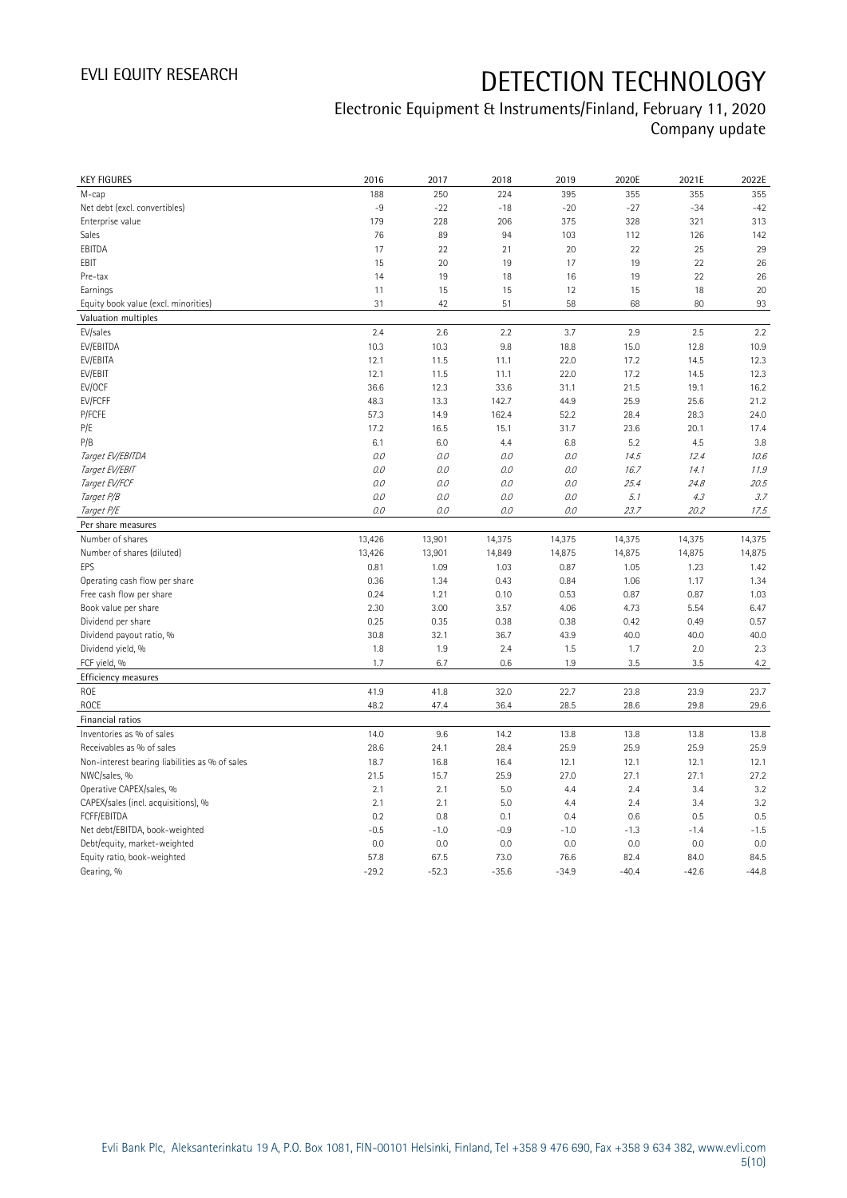## Electronic Equipment & Instruments/Finland, February 11, 2020 Company update

| <b>KEY FIGURES</b>                                 | 2016       | 2017          | 2018         | 2019          | 2020E         | 2021E        | 2022E         |
|----------------------------------------------------|------------|---------------|--------------|---------------|---------------|--------------|---------------|
| M-cap                                              | 188        | 250           | 224          | 395           | 355           | 355          | 355           |
| Net debt (excl. convertibles)                      | $-9$       | $-22$         | $-18$        | $-20$         | $-27$         | $-34$        | $-42$         |
| Enterprise value                                   | 179        | 228           | 206          | 375           | 328           | 321          | 313           |
| Sales                                              | 76         | 89            | 94           | 103           | 112           | 126          | 142           |
| EBITDA                                             | 17         | 22            | 21           | 20            | 22            | 25           | 29            |
| EBIT                                               | 15         | 20            | 19           | 17            | 19            | 22           | 26            |
| Pre-tax                                            | 14         | 19            | 18           | 16            | 19            | 22           | 26            |
| Earnings                                           | 11         | 15            | 15           | 12            | 15            | 18           | 20            |
| Equity book value (excl. minorities)               | 31         | 42            | 51           | 58            | 68            | 80           | 93            |
| Valuation multiples                                |            |               |              |               |               |              |               |
| EV/sales                                           | 2.4        | 2.6           | 2.2          | 3.7           | 2.9           | 2.5          | 2.2           |
| EV/EBITDA                                          | 10.3       | 10.3          | 9.8          | 18.8          | 15.0          | 12.8         | 10.9          |
| EV/EBITA                                           | 12.1       | 11.5          | 11.1         | 22.0          | 17.2          | 14.5         | 12.3          |
| EV/EBIT                                            | 12.1       | 11.5          | 11.1         | 22.0          | 17.2          | 14.5         | 12.3          |
| EV/OCF                                             | 36.6       | 12.3          | 33.6         | 31.1          | 21.5          | 19.1         | 16.2          |
| EV/FCFF                                            | 48.3       | 13.3          | 142.7        | 44.9          | 25.9          | 25.6         | 21.2          |
| P/FCFE                                             | 57.3       | 14.9          | 162.4        | 52.2          | 28.4          | 28.3         | 24.0          |
| P/E                                                | 17.2       | 16.5          | 15.1         | 31.7          | 23.6          | 20.1         | 17.4          |
| P/B                                                | 6.1        | 6.0           | 4.4          | 6.8           | 5.2           | 4.5          | 3.8           |
| Target EV/EBITDA                                   | O.O        | 0.0           | 0.0          | 0.0           | 14.5          | 12.4         | 10.6          |
| Target EV/EBIT                                     | 0.0        | $O.O$         | 0.0          | $O.O$         | 16.7          | 14.1         | 11.9          |
| Target EV/FCF                                      | O.O        | 0.0           | 0.0          | $O.O$         | 25.4          | 24.8         | 20.5          |
| Target P/B                                         | O.O        | 0.0           | 0.0          | 0.0           | 5.1           | 4.3          | 3.7           |
| Target P/E                                         | O.O        | 0.0           | 0.0          | 0.0           | 23.7          | 20.2         | 17.5          |
| Per share measures                                 |            |               |              |               |               |              |               |
| Number of shares                                   | 13,426     | 13,901        | 14,375       | 14,375        | 14,375        | 14,375       | 14,375        |
| Number of shares (diluted)                         | 13,426     | 13,901        | 14,849       | 14,875        | 14,875        | 14,875       | 14,875        |
|                                                    |            |               |              |               |               |              |               |
| EPS                                                | 0.81       | 1.09          | 1.03         | 0.87          | 1.05          | 1.23         | 1.42          |
|                                                    | 0.36       | 1.34          | 0.43         | 0.84          | 1.06          | 1.17         | 1.34          |
| Operating cash flow per share                      | 0.24       |               |              |               |               |              |               |
| Free cash flow per share                           | 2.30       | 1.21<br>3.00  | 0.10<br>3.57 | 0.53<br>4.06  | 0.87<br>4.73  | 0.87<br>5.54 | 1.03<br>6.47  |
| Book value per share<br>Dividend per share         | 0.25       | 0.35          | 0.38         | 0.38          | 0.42          | 0.49         | 0.57          |
|                                                    | 30.8       | 32.1          | 36.7         | 43.9          | 40.0          | 40.0         | 40.0          |
| Dividend payout ratio, %<br>Dividend yield, %      | 1.8        | 1.9           | 2.4          | 1.5           | 1.7           | 2.0          | 2.3           |
|                                                    | 1.7        | 6.7           | 0.6          | 1.9           | 3.5           | 3.5          | 4.2           |
| FCF yield, %                                       |            |               |              |               |               |              |               |
| Efficiency measures<br>ROE                         | 41.9       | 41.8          | 32.0         | 22.7          | 23.8          | 23.9         | 23.7          |
|                                                    |            |               |              |               |               |              |               |
| <b>ROCE</b>                                        | 48.2       | 47.4          | 36.4         | 28.5          | 28.6          | 29.8         | 29.6          |
| Financial ratios                                   |            |               |              |               |               |              |               |
| Inventories as % of sales                          | 14.0       | 9.6           | 14.2         | 13.8          | 13.8          | 13.8         | 13.8          |
| Receivables as % of sales                          | 28.6       | 24.1          | 28.4         | 25.9          | 25.9          | 25.9         | 25.9          |
| Non-interest bearing liabilities as % of sales     | 18.7       | 16.8          | 16.4         | 12.1          | 12.1          | 12.1         | 12.1          |
| NWC/sales, %                                       | 21.5       | 15.7          | 25.9         | 27.0          | 27.1          | 27.1         | 27.2          |
| Operative CAPEX/sales, %                           | 2.1<br>2.1 | 2.1<br>2.1    | 5.0<br>5.0   | 4.4<br>4.4    | 2.4<br>2.4    | 3.4<br>3.4   | 3.2<br>3.2    |
| CAPEX/sales (incl. acquisitions), %<br>FCFF/EBITDA | 0.2        | 0.8           | 0.1          | 0.4           | 0.6           | 0.5          |               |
|                                                    | $-0.5$     |               | $-0.9$       |               |               | $-1.4$       | 0.5           |
| Net debt/EBITDA, book-weighted                     | 0.0        | $-1.0$<br>0.0 | 0.0          | $-1.0$<br>0.0 | $-1.3$<br>0.0 | 0.0          | $-1.5$<br>0.0 |
| Debt/equity, market-weighted                       | 57.8       | 67.5          | 73.0         | 76.6          | 82.4          | 84.0         | 84.5          |
| Equity ratio, book-weighted<br>Gearing, %          | $-29.2$    | $-52.3$       | $-35.6$      | $-34.9$       | $-40.4$       | $-42.6$      | $-44.8$       |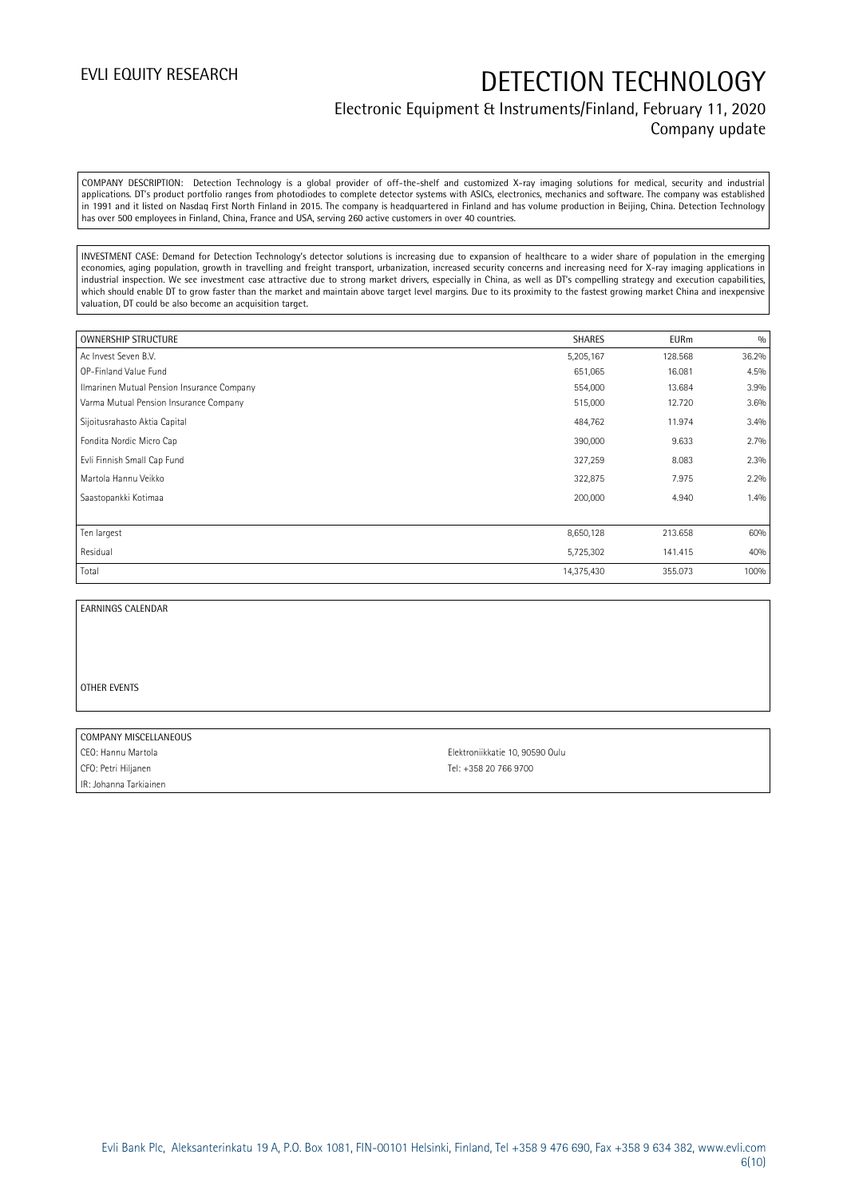## Electronic Equipment & Instruments/Finland, February 11, 2020 Company update

COMPANY DESCRIPTION: Detection Technology is a global provider of off-the-shelf and customized X-ray imaging solutions for medical, security and industrial applications. DT's product portfolio ranges from photodiodes to complete detector systems with ASICs, electronics, mechanics and software. The company was established in 1991 and it listed on Nasdaq First North Finland in 2015. The company is headquartered in Finland and has volume production in Beijing, China. Detection Technology has over 500 employees in Finland, China, France and USA, serving 260 active customers in over 40 countries.

INVESTMENT CASE: Demand for Detection Technology's detector solutions is increasing due to expansion of healthcare to a wider share of population in the emerging economies, aging population, growth in travelling and freight transport, urbanization, increased security concerns and increasing need for X-ray imaging applications in industrial inspection. We see investment case attractive due to strong market drivers, especially in China, as well as DT's compelling strategy and execution capabilities, which should enable DT to grow faster than the market and maintain above target level margins. Due to its proximity to the fastest growing market China and inexpensive valuation, DT could be also become an acquisition target.

| <b>OWNERSHIP STRUCTURE</b>                 | <b>SHARES</b> | <b>EURm</b> | 0/0   |
|--------------------------------------------|---------------|-------------|-------|
| Ac Invest Seven B.V.                       | 5,205,167     | 128.568     | 36.2% |
| OP-Finland Value Fund                      | 651,065       | 16.081      | 4.5%  |
| Ilmarinen Mutual Pension Insurance Company | 554,000       | 13.684      | 3.9%  |
| Varma Mutual Pension Insurance Company     | 515,000       | 12.720      | 3.6%  |
| Sijoitusrahasto Aktia Capital              | 484,762       | 11.974      | 3.4%  |
| Fondita Nordic Micro Cap                   | 390,000       | 9.633       | 2.7%  |
| Evli Finnish Small Cap Fund                | 327,259       | 8.083       | 2.3%  |
| Martola Hannu Veikko                       | 322,875       | 7.975       | 2.2%  |
| Saastopankki Kotimaa                       | 200,000       | 4.940       | 1.4%  |
|                                            |               |             |       |
| Ten largest                                | 8,650,128     | 213.658     | 60%   |
| Residual                                   | 5,725,302     | 141.415     | 40%   |
| Total                                      | 14,375,430    | 355.073     | 100%  |

### EARNINGS CALENDAR

### OTHER EVENTS

### COMPANY MISCELLANEOUS

CFO: Petri Hiljanen Tel: +358 20 766 9700 IR: Johanna Tarkiainen

CEO: Hannu Martola Elektroniikkatie 10, 90590 Oulu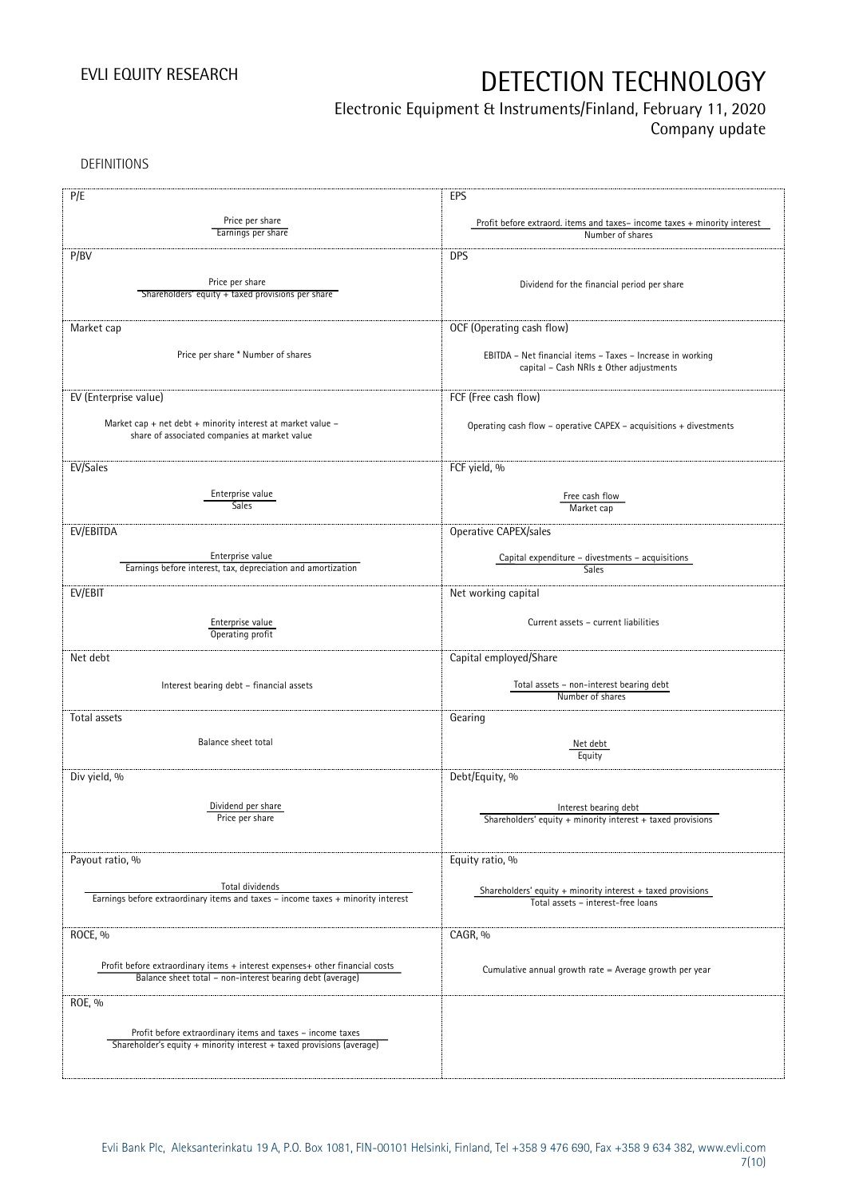## Electronic Equipment & Instruments/Finland, February 11, 2020

Company update

DEFINITIONS

| P/E                                                                              | EPS                                                                                                   |
|----------------------------------------------------------------------------------|-------------------------------------------------------------------------------------------------------|
| Price per share                                                                  | Profit before extraord. items and taxes-income taxes + minority interest                              |
| Earnings per share                                                               | Number of shares                                                                                      |
| P/BV                                                                             | <b>DPS</b>                                                                                            |
|                                                                                  |                                                                                                       |
| Price per share                                                                  | Dividend for the financial period per share                                                           |
| Shareholders' equity + taxed provisions per share                                |                                                                                                       |
|                                                                                  |                                                                                                       |
| Market cap                                                                       | OCF (Operating cash flow)                                                                             |
|                                                                                  |                                                                                                       |
| Price per share * Number of shares                                               | EBITDA - Net financial items - Taxes - Increase in working<br>capital - Cash NRIs ± Other adjustments |
|                                                                                  |                                                                                                       |
| EV (Enterprise value)                                                            | FCF (Free cash flow)                                                                                  |
|                                                                                  |                                                                                                       |
| Market cap + net debt + minority interest at market value -                      | Operating cash flow - operative CAPEX - acquisitions + divestments                                    |
| share of associated companies at market value                                    |                                                                                                       |
|                                                                                  |                                                                                                       |
| EV/Sales                                                                         | FCF yield, %                                                                                          |
| Enterprise value                                                                 | Free cash flow                                                                                        |
| Sales                                                                            | Market cap                                                                                            |
| EV/EBITDA                                                                        | Operative CAPEX/sales                                                                                 |
|                                                                                  |                                                                                                       |
| Enterprise value                                                                 | Capital expenditure – divestments – acquisitions                                                      |
| Earnings before interest, tax, depreciation and amortization                     | Sales                                                                                                 |
| EV/EBIT                                                                          | Net working capital                                                                                   |
|                                                                                  |                                                                                                       |
| Enterprise value                                                                 | Current assets - current liabilities                                                                  |
| Operating profit                                                                 |                                                                                                       |
| Net debt                                                                         | Capital employed/Share                                                                                |
|                                                                                  |                                                                                                       |
| Interest bearing debt - financial assets                                         | Total assets - non-interest bearing debt<br>Number of shares                                          |
|                                                                                  |                                                                                                       |
| Total assets                                                                     | Gearing                                                                                               |
| Balance sheet total                                                              | Net debt                                                                                              |
|                                                                                  | Equity                                                                                                |
| Div yield, %                                                                     | Debt/Equity, %                                                                                        |
|                                                                                  |                                                                                                       |
| Dividend per share                                                               | Interest bearing debt                                                                                 |
| Price per share                                                                  | Shareholders' equity + minority interest + taxed provisions                                           |
|                                                                                  |                                                                                                       |
| Payout ratio, %                                                                  | Equity ratio, %                                                                                       |
|                                                                                  |                                                                                                       |
| Total dividends                                                                  | Shareholders' equity $+$ minority interest $+$ taxed provisions                                       |
| Earnings before extraordinary items and taxes - income taxes + minority interest | Total assets - interest-free loans                                                                    |
|                                                                                  |                                                                                                       |
| ROCE, %                                                                          | CAGR, %                                                                                               |
|                                                                                  |                                                                                                       |
| Profit before extraordinary items + interest expenses+ other financial costs     | Cumulative annual growth rate = Average growth per year                                               |
| Balance sheet total - non-interest bearing debt (average)                        |                                                                                                       |
| ROE, %                                                                           |                                                                                                       |
|                                                                                  |                                                                                                       |
| Profit before extraordinary items and taxes - income taxes                       |                                                                                                       |
| Shareholder's equity + minority interest + taxed provisions (average)            |                                                                                                       |
|                                                                                  |                                                                                                       |
|                                                                                  |                                                                                                       |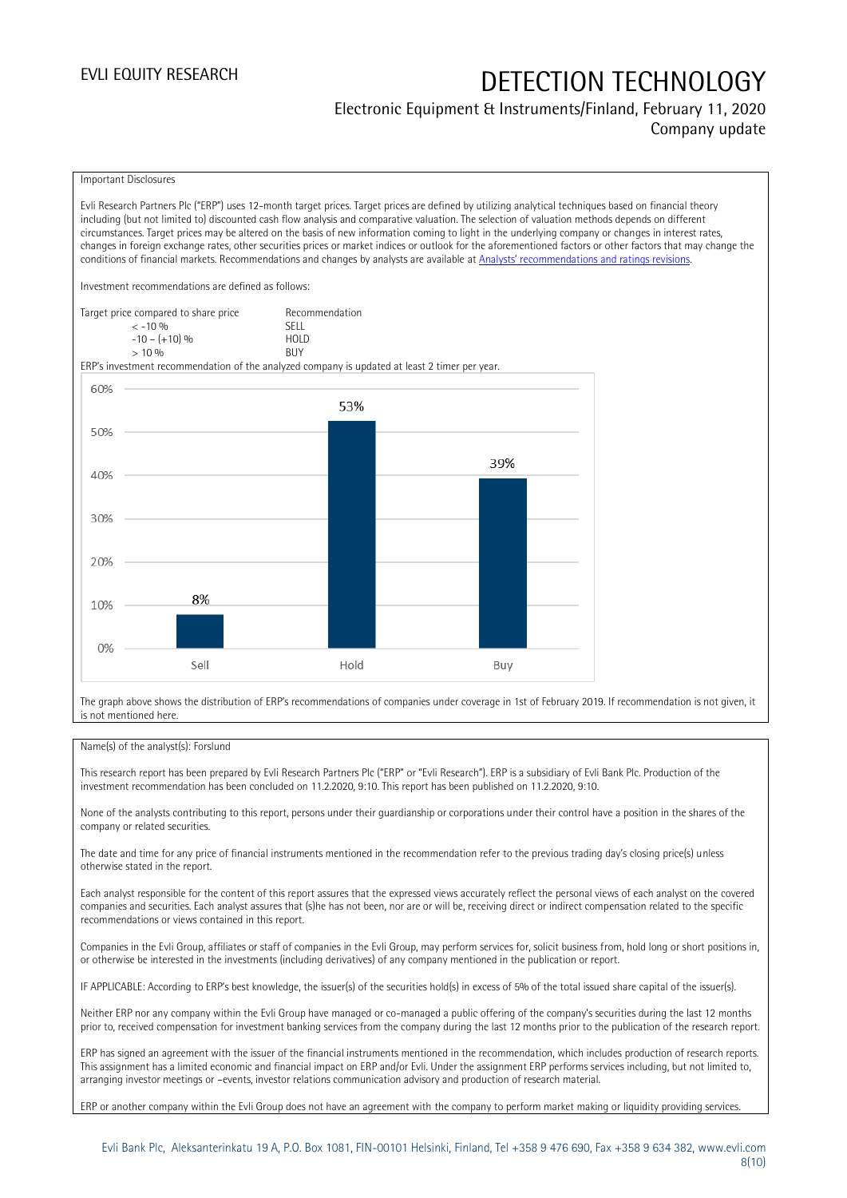## Electronic Equipment & Instruments/Finland, February 11, 2020 Company update

### Important Disclosures

Evli Research Partners Plc ("ERP") uses 12-month target prices. Target prices are defined by utilizing analytical techniques based on financial theory including (but not limited to) discounted cash flow analysis and comparative valuation. The selection of valuation methods depends on different circumstances. Target prices may be altered on the basis of new information coming to light in the underlying company or changes in interest rates, changes in foreign exchange rates, other securities prices or market indices or outlook for the aforementioned factors or other factors that may change the conditions of financial markets. Recommendations and changes by analysts are available at [Analysts' recommendations and ratings revisions](https://research.evli.com/JasperAllModels.action?authParam=key;461&authParam=x;G3rNagWrtf7K&authType=3). Investment recommendations are defined as follows: Target price compared to share price Recommendation<br>CELL CALLO 06



The graph above shows the distribution of ERP's recommendations of companies under coverage in 1st of February 2019. If recommendation is not given, it is not mentioned here.

### Name(s) of the analyst(s): Forslund

This research report has been prepared by Evli Research Partners Plc ("ERP" or "Evli Research"). ERP is a subsidiary of Evli Bank Plc. Production of the investment recommendation has been concluded on 11.2.2020, 9:10. This report has been published on 11.2.2020, 9:10.

None of the analysts contributing to this report, persons under their guardianship or corporations under their control have a position in the shares of the company or related securities.

The date and time for any price of financial instruments mentioned in the recommendation refer to the previous trading day's closing price(s) unless otherwise stated in the report.

Each analyst responsible for the content of this report assures that the expressed views accurately reflect the personal views of each analyst on the covered companies and securities. Each analyst assures that (s)he has not been, nor are or will be, receiving direct or indirect compensation related to the specific recommendations or views contained in this report.

Companies in the Evli Group, affiliates or staff of companies in the Evli Group, may perform services for, solicit business from, hold long or short positions in, or otherwise be interested in the investments (including derivatives) of any company mentioned in the publication or report.

IF APPLICABLE: According to ERP's best knowledge, the issuer(s) of the securities hold(s) in excess of 5% of the total issued share capital of the issuer(s).

Neither ERP nor any company within the Evli Group have managed or co-managed a public offering of the company's securities during the last 12 months prior to, received compensation for investment banking services from the company during the last 12 months prior to the publication of the research report.

ERP has signed an agreement with the issuer of the financial instruments mentioned in the recommendation, which includes production of research reports. This assignment has a limited economic and financial impact on ERP and/or Evli. Under the assignment ERP performs services including, but not limited to, arranging investor meetings or –events, investor relations communication advisory and production of research material.

ERP or another company within the Evli Group does not have an agreement with the company to perform market making or liquidity providing services.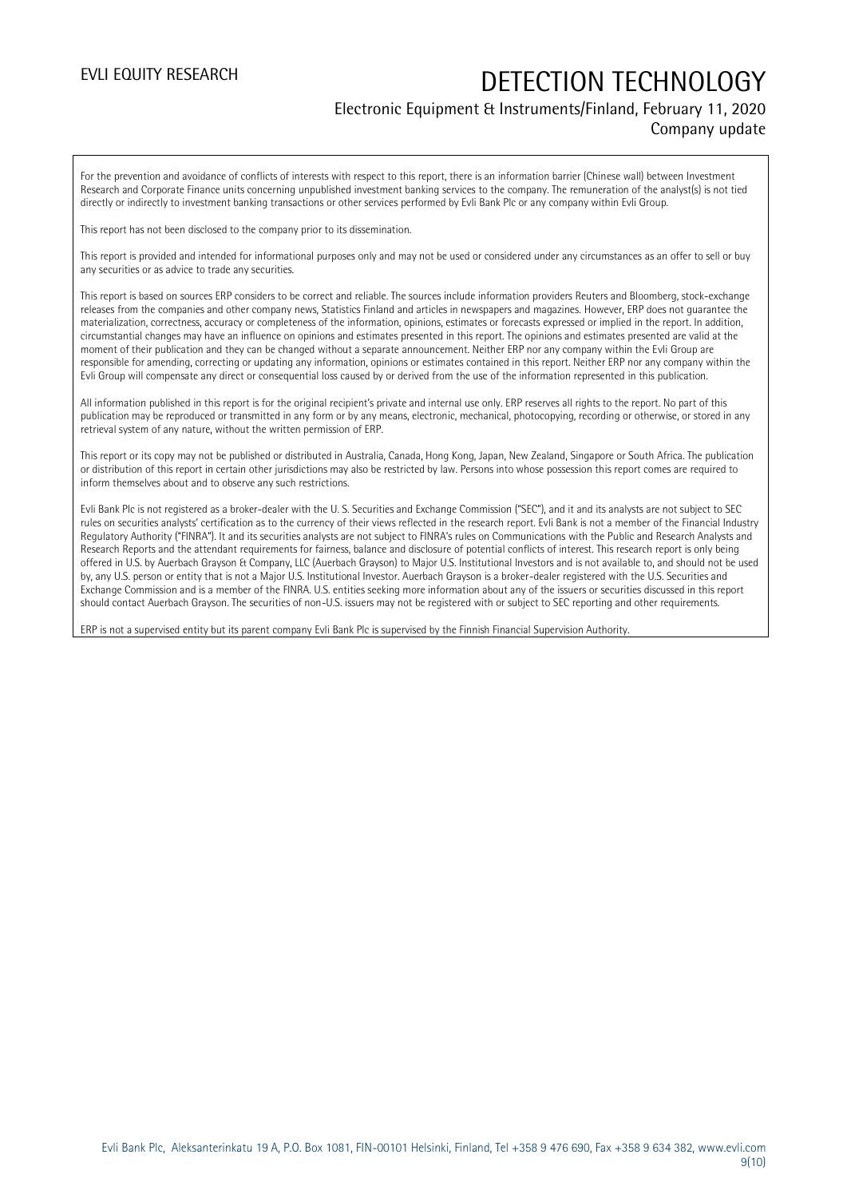## Electronic Equipment & Instruments/Finland, February 11, 2020

Company update

For the prevention and avoidance of conflicts of interests with respect to this report, there is an information barrier (Chinese wall) between Investment Research and Corporate Finance units concerning unpublished investment banking services to the company. The remuneration of the analyst(s) is not tied directly or indirectly to investment banking transactions or other services performed by Evli Bank Plc or any company within Evli Group.

This report has not been disclosed to the company prior to its dissemination.

This report is provided and intended for informational purposes only and may not be used or considered under any circumstances as an offer to sell or buy any securities or as advice to trade any securities.

This report is based on sources ERP considers to be correct and reliable. The sources include information providers Reuters and Bloomberg, stock-exchange releases from the companies and other company news, Statistics Finland and articles in newspapers and magazines. However, ERP does not guarantee the materialization, correctness, accuracy or completeness of the information, opinions, estimates or forecasts expressed or implied in the report. In addition, circumstantial changes may have an influence on opinions and estimates presented in this report. The opinions and estimates presented are valid at the moment of their publication and they can be changed without a separate announcement. Neither ERP nor any company within the Evli Group are responsible for amending, correcting or updating any information, opinions or estimates contained in this report. Neither ERP nor any company within the Evli Group will compensate any direct or consequential loss caused by or derived from the use of the information represented in this publication.

All information published in this report is for the original recipient's private and internal use only. ERP reserves all rights to the report. No part of this publication may be reproduced or transmitted in any form or by any means, electronic, mechanical, photocopying, recording or otherwise, or stored in any retrieval system of any nature, without the written permission of ERP.

This report or its copy may not be published or distributed in Australia, Canada, Hong Kong, Japan, New Zealand, Singapore or South Africa. The publication or distribution of this report in certain other jurisdictions may also be restricted by law. Persons into whose possession this report comes are required to inform themselves about and to observe any such restrictions.

Evli Bank Plc is not registered as a broker-dealer with the U. S. Securities and Exchange Commission ("SEC"), and it and its analysts are not subject to SEC rules on securities analysts' certification as to the currency of their views reflected in the research report. Evli Bank is not a member of the Financial Industry Regulatory Authority ("FINRA"). It and its securities analysts are not subject to FINRA's rules on Communications with the Public and Research Analysts and Research Reports and the attendant requirements for fairness, balance and disclosure of potential conflicts of interest. This research report is only being offered in U.S. by Auerbach Grayson & Company, LLC (Auerbach Grayson) to Major U.S. Institutional Investors and is not available to, and should not be used by, any U.S. person or entity that is not a Major U.S. Institutional Investor. Auerbach Grayson is a broker-dealer registered with the U.S. Securities and Exchange Commission and is a member of the FINRA. U.S. entities seeking more information about any of the issuers or securities discussed in this report should contact Auerbach Grayson. The securities of non-U.S. issuers may not be registered with or subject to SEC reporting and other requirements.

ERP is not a supervised entity but its parent company Evli Bank Plc is supervised by the Finnish Financial Supervision Authority.